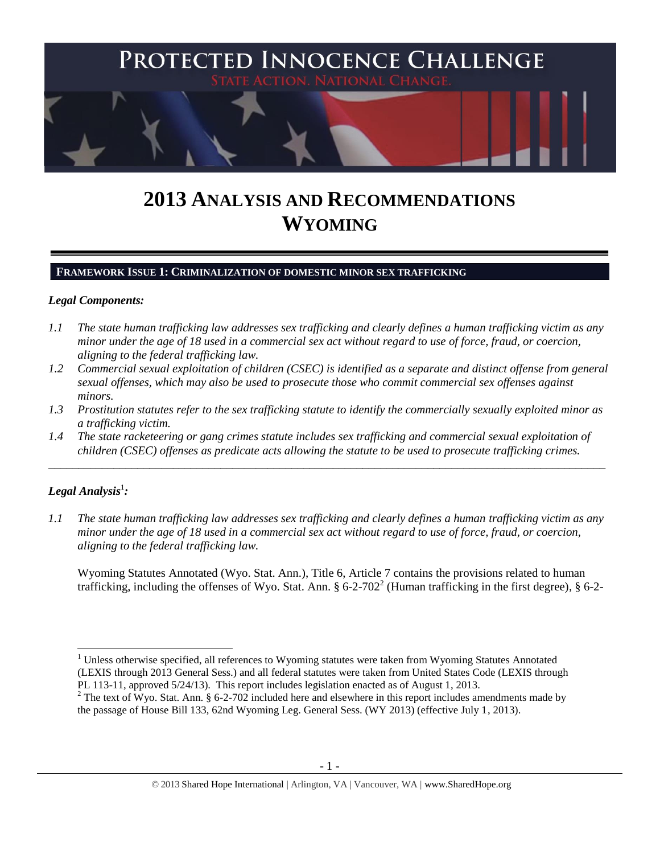

# **2013 ANALYSIS AND RECOMMENDATIONS WYOMING**

### **FRAMEWORK ISSUE 1: CRIMINALIZATION OF DOMESTIC MINOR SEX TRAFFICKING**

### *Legal Components:*

- *1.1 The state human trafficking law addresses sex trafficking and clearly defines a human trafficking victim as any minor under the age of 18 used in a commercial sex act without regard to use of force, fraud, or coercion, aligning to the federal trafficking law.*
- *1.2 Commercial sexual exploitation of children (CSEC) is identified as a separate and distinct offense from general sexual offenses, which may also be used to prosecute those who commit commercial sex offenses against minors.*
- *1.3 Prostitution statutes refer to the sex trafficking statute to identify the commercially sexually exploited minor as a trafficking victim.*

\_\_\_\_\_\_\_\_\_\_\_\_\_\_\_\_\_\_\_\_\_\_\_\_\_\_\_\_\_\_\_\_\_\_\_\_\_\_\_\_\_\_\_\_\_\_\_\_\_\_\_\_\_\_\_\_\_\_\_\_\_\_\_\_\_\_\_\_\_\_\_\_\_\_\_\_\_\_\_\_\_\_\_\_\_\_\_\_\_\_\_\_\_\_

*1.4 The state racketeering or gang crimes statute includes sex trafficking and commercial sexual exploitation of children (CSEC) offenses as predicate acts allowing the statute to be used to prosecute trafficking crimes.* 

# $\bm{L}$ egal Analysis $^1$ :

 $\overline{\phantom{a}}$ 

*1.1 The state human trafficking law addresses sex trafficking and clearly defines a human trafficking victim as any minor under the age of 18 used in a commercial sex act without regard to use of force, fraud, or coercion, aligning to the federal trafficking law.*

<span id="page-0-0"></span>Wyoming Statutes Annotated (Wyo. Stat. Ann.), Title 6, Article 7 contains the provisions related to human trafficking, including the offenses of Wyo. Stat. Ann. § 6-2-702<sup>2</sup> (Human trafficking in the first degree), § 6-2-

<sup>&</sup>lt;sup>1</sup> Unless otherwise specified, all references to Wyoming statutes were taken from Wyoming Statutes Annotated (LEXIS through 2013 General Sess.) and all federal statutes were taken from United States Code (LEXIS through PL 113-11, approved 5/24/13). This report includes legislation enacted as of August 1, 2013.

<sup>&</sup>lt;sup>2</sup> The text of Wyo. Stat. Ann. § 6-2-702 included here and elsewhere in this report includes amendments made by the passage of House Bill 133, 62nd Wyoming Leg. General Sess. (WY 2013) (effective July 1, 2013).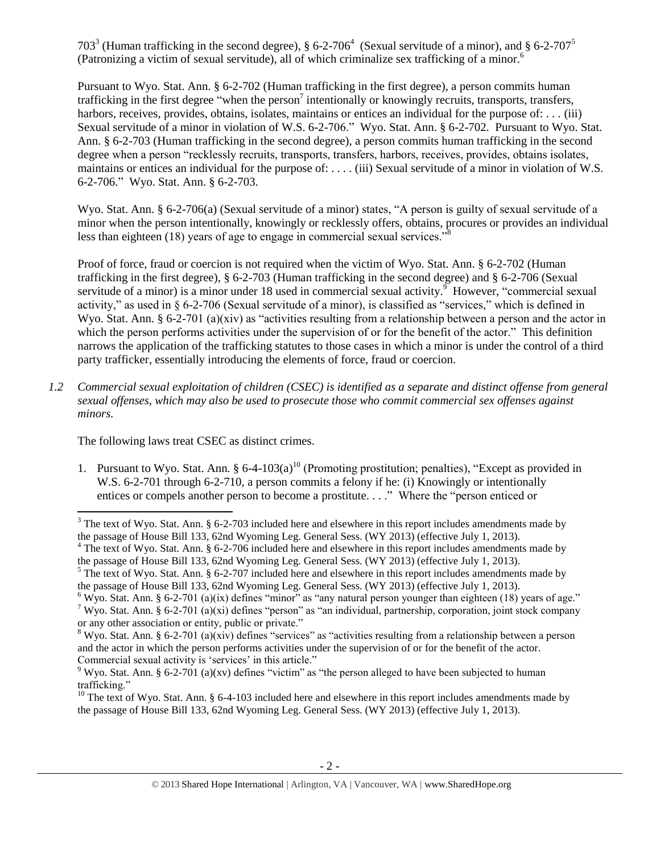<span id="page-1-6"></span><span id="page-1-5"></span><span id="page-1-2"></span><span id="page-1-1"></span>703<sup>3</sup> (Human trafficking in the second degree), § 6-2-706<sup>4</sup> (Sexual servitude of a minor), and § 6-2-707<sup>5</sup> (Patronizing a victim of sexual servitude), all of which criminalize sex trafficking of a minor.<sup>6</sup>

<span id="page-1-3"></span>Pursuant to Wyo. Stat. Ann. § 6-2-702 (Human trafficking in the first degree), a person commits human trafficking in the first degree "when the person<sup>7</sup> intentionally or knowingly recruits, transports, transfers, harbors, receives, provides, obtains, isolates, maintains or entices an individual for the purpose of: . . . (iii) Sexual servitude of a minor in violation of W.S. 6-2-706." Wyo. Stat. Ann. § 6-2-702. Pursuant to Wyo. Stat. Ann. § 6-2-703 (Human trafficking in the second degree), a person commits human trafficking in the second degree when a person "recklessly recruits, transports, transfers, harbors, receives, provides, obtains isolates, maintains or entices an individual for the purpose of: . . . . (iii) Sexual servitude of a minor in violation of W.S. 6-2-706." Wyo. Stat. Ann. § 6-2-703.

Wyo. Stat. Ann. § 6-2-706(a) (Sexual servitude of a minor) states, "A person is guilty of sexual servitude of a minor when the person intentionally, knowingly or recklessly offers, obtains, procures or provides an individual less than eighteen (18) years of age to engage in commercial sexual services."

<span id="page-1-4"></span>Proof of force, fraud or coercion is not required when the victim of Wyo. Stat. Ann. § 6-2-702 (Human trafficking in the first degree), § 6-2-703 (Human trafficking in the second degree) and § 6-2-706 (Sexual servitude of a minor) is a minor under 18 used in commercial sexual activity.<sup>9</sup> However, "commercial sexual activity," as used in § 6-2-706 (Sexual servitude of a minor), is classified as "services," which is defined in Wyo. Stat. Ann. § 6-2-701 (a)(xiv) as "activities resulting from a relationship between a person and the actor in which the person performs activities under the supervision of or for the benefit of the actor." This definition narrows the application of the trafficking statutes to those cases in which a minor is under the control of a third party trafficker, essentially introducing the elements of force, fraud or coercion.

*1.2 Commercial sexual exploitation of children (CSEC) is identified as a separate and distinct offense from general sexual offenses, which may also be used to prosecute those who commit commercial sex offenses against minors.*

The following laws treat CSEC as distinct crimes.

 $\overline{\phantom{a}}$ 

<span id="page-1-0"></span>1. Pursuant to Wyo. Stat. Ann.  $\S 6-4-103(a)^{10}$  (Promoting prostitution; penalties), "Except as provided in W.S. 6-2-701 through 6-2-710, a person commits a felony if he: (i) Knowingly or intentionally entices or compels another person to become a prostitute. . . ." Where the "person enticed or

 $3$  The text of Wyo. Stat. Ann. § 6-2-703 included here and elsewhere in this report includes amendments made by the passage of House Bill 133, 62nd Wyoming Leg. General Sess. (WY 2013) (effective July 1, 2013).

<sup>&</sup>lt;sup>4</sup> The text of Wyo. Stat. Ann. § 6-2-706 included here and elsewhere in this report includes amendments made by the passage of House Bill 133, 62nd Wyoming Leg. General Sess. (WY 2013) (effective July 1, 2013).

<sup>&</sup>lt;sup>5</sup> The text of Wyo. Stat. Ann. § 6-2-707 included here and elsewhere in this report includes amendments made by the passage of House Bill 133, 62nd Wyoming Leg. General Sess. (WY 2013) (effective July 1, 2013).

 $6$  Wyo. Stat. Ann. § 6-2-701 (a)(ix) defines "minor" as "any natural person younger than eighteen (18) years of age." <sup>7</sup> Wyo. Stat. Ann. § 6-2-701 (a)(xi) defines "person" as "an individual, partnership, corporation, joint stock company or any other association or entity, public or private."

<sup>&</sup>lt;sup>8</sup> Wyo. Stat. Ann. § 6-2-701 (a)(xiv) defines "services" as "activities resulting from a relationship between a person and the actor in which the person performs activities under the supervision of or for the benefit of the actor. Commercial sexual activity is 'services' in this article."

<sup>&</sup>lt;sup>9</sup> Wyo. Stat. Ann. § 6-2-701 (a)(xv) defines "victim" as "the person alleged to have been subjected to human trafficking."

<sup>&</sup>lt;sup>10</sup> The text of Wyo. Stat. Ann. § 6-4-103 included here and elsewhere in this report includes amendments made by the passage of House Bill 133, 62nd Wyoming Leg. General Sess. (WY 2013) (effective July 1, 2013).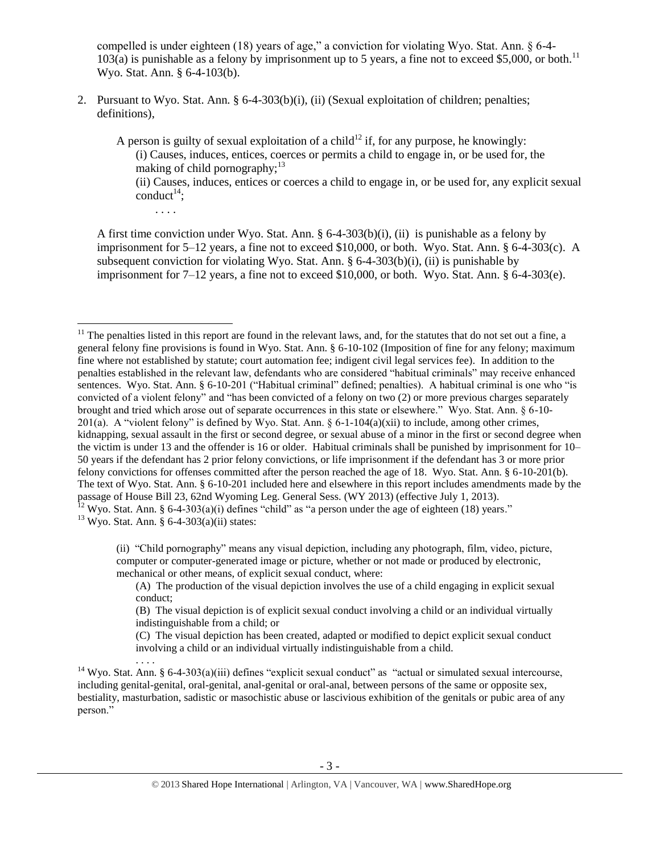compelled is under eighteen (18) years of age," a conviction for violating Wyo. Stat. Ann. § 6-4-  $103(a)$  is punishable as a felony by imprisonment up to 5 years, a fine not to exceed \$5,000, or both.<sup>11</sup> Wyo. Stat. Ann. § 6-4-103(b).

2. Pursuant to Wyo. Stat. Ann. § 6-4-303(b)(i), (ii) (Sexual exploitation of children; penalties; definitions),

A person is guilty of sexual exploitation of a child<sup>12</sup> if, for any purpose, he knowingly: (i) Causes, induces, entices, coerces or permits a child to engage in, or be used for, the making of child pornography; $^{13}$ 

(ii) Causes, induces, entices or coerces a child to engage in, or be used for, any explicit sexual conduct<sup>14</sup>;

A first time conviction under Wyo. Stat. Ann. § 6-4-303(b)(i), (ii) is punishable as a felony by imprisonment for 5–12 years, a fine not to exceed \$10,000, or both. Wyo. Stat. Ann. § 6-4-303(c). A subsequent conviction for violating Wyo. Stat. Ann.  $\S 6-4-303(b)(i)$ , (ii) is punishable by imprisonment for 7–12 years, a fine not to exceed \$10,000, or both. Wyo. Stat. Ann. § 6-4-303(e).

 $11$  The penalties listed in this report are found in the relevant laws, and, for the statutes that do not set out a fine, a general felony fine provisions is found in Wyo. Stat. Ann. § 6-10-102 (Imposition of fine for any felony; maximum fine where not established by statute; court automation fee; indigent civil legal services fee). In addition to the penalties established in the relevant law, defendants who are considered "habitual criminals" may receive enhanced sentences. Wyo. Stat. Ann. § 6-10-201 ("Habitual criminal" defined; penalties). A habitual criminal is one who "is convicted of a violent felony" and "has been convicted of a felony on two (2) or more previous charges separately brought and tried which arose out of separate occurrences in this state or elsewhere." Wyo. Stat. Ann. § 6-10- 201(a). A "violent felony" is defined by Wyo. Stat. Ann.  $\S 6$ -1-104(a)(xii) to include, among other crimes, kidnapping, sexual assault in the first or second degree, or sexual abuse of a minor in the first or second degree when the victim is under 13 and the offender is 16 or older. Habitual criminals shall be punished by imprisonment for 10– 50 years if the defendant has 2 prior felony convictions, or life imprisonment if the defendant has 3 or more prior felony convictions for offenses committed after the person reached the age of 18. Wyo. Stat. Ann. § 6-10-201(b). The text of Wyo. Stat. Ann. § 6-10-201 included here and elsewhere in this report includes amendments made by the passage of House Bill 23, 62nd Wyoming Leg. General Sess. (WY 2013) (effective July 1, 2013).  $^{12}$  Wyo. Stat. Ann. § 6-4-303(a)(i) defines "child" as "a person under the age of eighteen (18) years."

 $13$  Wyo. Stat. Ann. § 6-4-303(a)(ii) states:

<span id="page-2-1"></span><span id="page-2-0"></span>. . . .

 $\overline{\phantom{a}}$ 

(ii) "Child pornography" means any visual depiction, including any photograph, film, video, picture, computer or computer-generated image or picture, whether or not made or produced by electronic, mechanical or other means, of explicit sexual conduct, where:

(A) The production of the visual depiction involves the use of a child engaging in explicit sexual conduct;

(B) The visual depiction is of explicit sexual conduct involving a child or an individual virtually indistinguishable from a child; or

(C) The visual depiction has been created, adapted or modified to depict explicit sexual conduct involving a child or an individual virtually indistinguishable from a child. . . . .

<sup>14</sup> Wyo. Stat. Ann. § 6-4-303(a)(iii) defines "explicit sexual conduct" as "actual or simulated sexual intercourse, including genital-genital, oral-genital, anal-genital or oral-anal, between persons of the same or opposite sex, bestiality, masturbation, sadistic or masochistic abuse or lascivious exhibition of the genitals or pubic area of any person."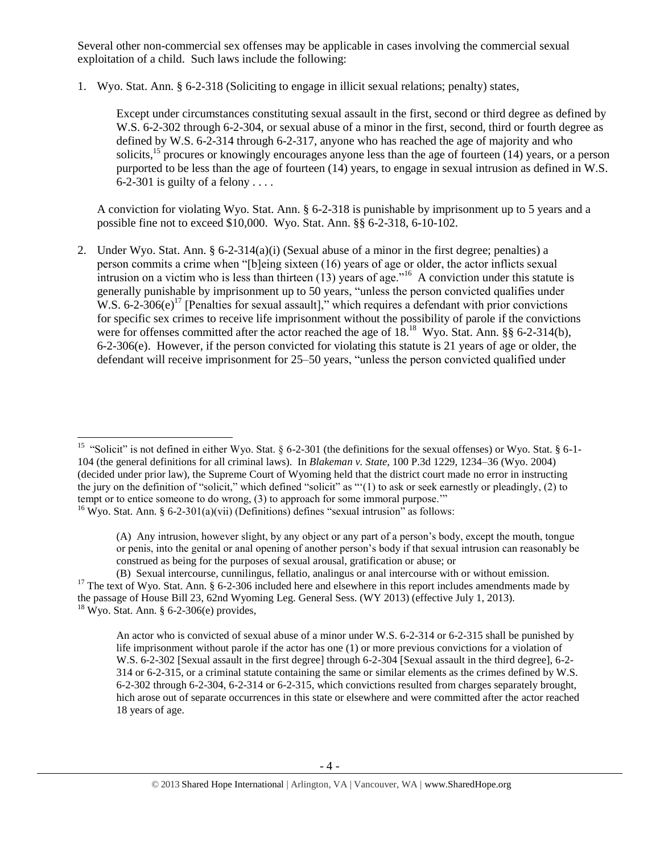Several other non-commercial sex offenses may be applicable in cases involving the commercial sexual exploitation of a child. Such laws include the following:

1. Wyo. Stat. Ann. § 6-2-318 (Soliciting to engage in illicit sexual relations; penalty) states,

Except under circumstances constituting sexual assault in the first, second or third degree as defined by W.S. 6-2-302 through 6-2-304, or sexual abuse of a minor in the first, second, third or fourth degree as defined by W.S. 6-2-314 through 6-2-317, anyone who has reached the age of majority and who solicits,<sup>15</sup> procures or knowingly encourages anyone less than the age of fourteen (14) years, or a person purported to be less than the age of fourteen (14) years, to engage in sexual intrusion as defined in W.S. 6-2-301 is guilty of a felony  $\dots$ 

<span id="page-3-0"></span>A conviction for violating Wyo. Stat. Ann. § 6-2-318 is punishable by imprisonment up to 5 years and a possible fine not to exceed \$10,000. Wyo. Stat. Ann. §§ 6-2-318, 6-10-102.

<span id="page-3-1"></span>2. Under Wyo. Stat. Ann. § 6-2-314(a)(i) (Sexual abuse of a minor in the first degree; penalties) a person commits a crime when "[b]eing sixteen (16) years of age or older, the actor inflicts sexual intrusion on a victim who is less than thirteen  $(13)$  years of age.<sup> $16$ </sup> A conviction under this statute is generally punishable by imprisonment up to 50 years, "unless the person convicted qualifies under W.S.  $6-2-306(e)^{17}$  [Penalties for sexual assault]," which requires a defendant with prior convictions for specific sex crimes to receive life imprisonment without the possibility of parole if the convictions were for offenses committed after the actor reached the age of 18.<sup>18</sup> Wyo. Stat. Ann. §§ 6-2-314(b), 6-2-306(e). However, if the person convicted for violating this statute is 21 years of age or older, the defendant will receive imprisonment for 25–50 years, "unless the person convicted qualified under

 15 "Solicit" is not defined in either Wyo. Stat. § 6-2-301 (the definitions for the sexual offenses) or Wyo. Stat. § 6-1- 104 (the general definitions for all criminal laws). In *Blakeman v. State*, 100 P.3d 1229, 1234–36 (Wyo. 2004) (decided under prior law), the Supreme Court of Wyoming held that the district court made no error in instructing the jury on the definition of "solicit," which defined "solicit" as "'(1) to ask or seek earnestly or pleadingly, (2) to tempt or to entice someone to do wrong, (3) to approach for some immoral purpose.'"

<sup>&</sup>lt;sup>16</sup> Wyo. Stat. Ann. § 6-2-301(a)(vii) (Definitions) defines "sexual intrusion" as follows:

<sup>(</sup>A) Any intrusion, however slight, by any object or any part of a person's body, except the mouth, tongue or penis, into the genital or anal opening of another person's body if that sexual intrusion can reasonably be construed as being for the purposes of sexual arousal, gratification or abuse; or

<sup>(</sup>B) Sexual intercourse, cunnilingus, fellatio, analingus or anal intercourse with or without emission. <sup>17</sup> The text of Wyo. Stat. Ann. § 6-2-306 included here and elsewhere in this report includes amendments made by the passage of House Bill 23, 62nd Wyoming Leg. General Sess. (WY 2013) (effective July 1, 2013).  $18$  Wyo. Stat. Ann. § 6-2-306(e) provides,

An actor who is convicted of sexual abuse of a minor under W.S. 6-2-314 or 6-2-315 shall be punished by life imprisonment without parole if the actor has one (1) or more previous convictions for a violation of W.S. 6-2-302 [Sexual assault in the first degree] through 6-2-304 [Sexual assault in the third degree], 6-2- 314 or 6-2-315, or a criminal statute containing the same or similar elements as the crimes defined by W.S. 6-2-302 through 6-2-304, 6-2-314 or 6-2-315, which convictions resulted from charges separately brought, hich arose out of separate occurrences in this state or elsewhere and were committed after the actor reached 18 years of age.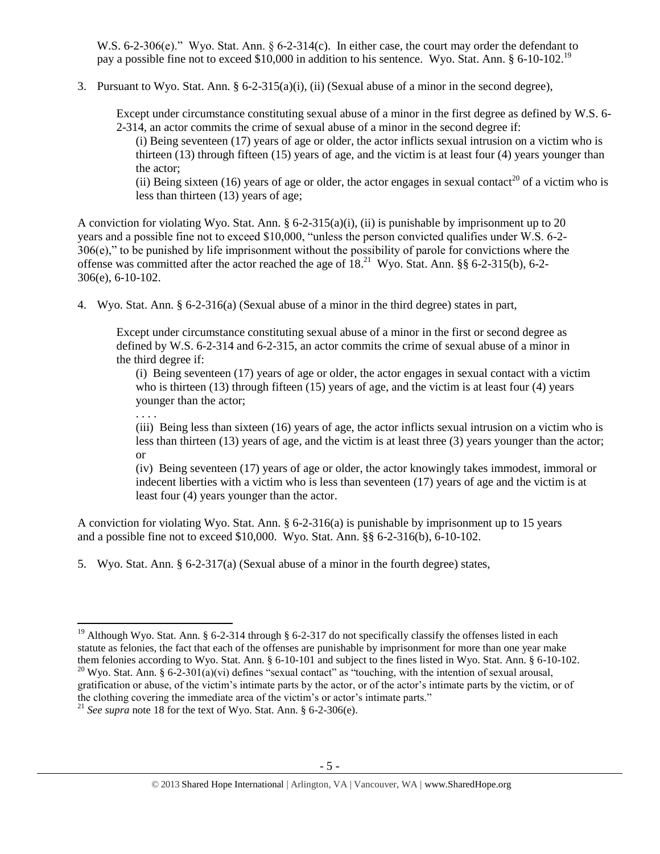W.S. 6-2-306(e)." Wyo. Stat. Ann. § 6-2-314(c). In either case, the court may order the defendant to pay a possible fine not to exceed \$10,000 in addition to his sentence. Wyo. Stat. Ann. § 6-10-102.<sup>19</sup>

3. Pursuant to Wyo. Stat. Ann.  $\S 6$ -2-315(a)(i), (ii) (Sexual abuse of a minor in the second degree),

Except under circumstance constituting sexual abuse of a minor in the first degree as defined by W.S. 6- 2-314, an actor commits the crime of sexual abuse of a minor in the second degree if:

(i) Being seventeen (17) years of age or older, the actor inflicts sexual intrusion on a victim who is thirteen (13) through fifteen (15) years of age, and the victim is at least four (4) years younger than the actor;

(ii) Being sixteen (16) years of age or older, the actor engages in sexual contact<sup>20</sup> of a victim who is less than thirteen (13) years of age;

A conviction for violating Wyo. Stat. Ann. § 6-2-315(a)(i), (ii) is punishable by imprisonment up to 20 years and a possible fine not to exceed \$10,000, "unless the person convicted qualifies under W.S. 6-2- 306(e)," to be punished by life imprisonment without the possibility of parole for convictions where the offense was committed after the actor reached the age of  $18.<sup>21</sup>$  Wyo. Stat. Ann. §§ 6-2-315(b), 6-2-306(e), 6-10-102.

4. Wyo. Stat. Ann. § 6-2-316(a) (Sexual abuse of a minor in the third degree) states in part,

Except under circumstance constituting sexual abuse of a minor in the first or second degree as defined by W.S. 6-2-314 and 6-2-315, an actor commits the crime of sexual abuse of a minor in the third degree if:

(i) Being seventeen (17) years of age or older, the actor engages in sexual contact with a victim who is thirteen (13) through fifteen (15) years of age, and the victim is at least four (4) years younger than the actor;

(iii) Being less than sixteen (16) years of age, the actor inflicts sexual intrusion on a victim who is less than thirteen (13) years of age, and the victim is at least three (3) years younger than the actor; or

(iv) Being seventeen (17) years of age or older, the actor knowingly takes immodest, immoral or indecent liberties with a victim who is less than seventeen (17) years of age and the victim is at least four (4) years younger than the actor.

A conviction for violating Wyo. Stat. Ann. § 6-2-316(a) is punishable by imprisonment up to 15 years and a possible fine not to exceed \$10,000. Wyo. Stat. Ann. §§ 6-2-316(b), 6-10-102.

5. Wyo. Stat. Ann. § 6-2-317(a) (Sexual abuse of a minor in the fourth degree) states,

. . . .

l <sup>19</sup> Although Wyo. Stat. Ann. § 6-2-314 through § 6-2-317 do not specifically classify the offenses listed in each statute as felonies, the fact that each of the offenses are punishable by imprisonment for more than one year make them felonies according to Wyo. Stat. Ann. § 6-10-101 and subject to the fines listed in Wyo. Stat. Ann. § 6-10-102. <sup>20</sup> Wyo. Stat. Ann. § 6-2-301(a)(vi) defines "sexual contact" as "touching, with the intention of sexual arousal, gratification or abuse, of the victim's intimate parts by the actor, or of the actor's intimate parts by the victim, or of the clothing covering the immediate area of the victim's or actor's intimate parts."

<sup>&</sup>lt;sup>21</sup> *See supra* note [18](#page-3-0) for the text of Wyo. Stat. Ann. § 6-2-306(e).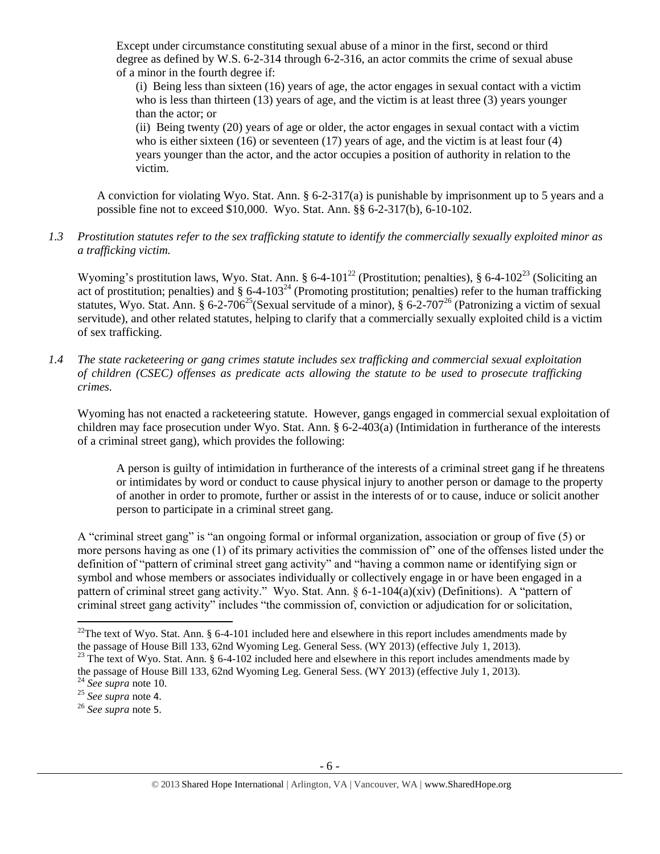Except under circumstance constituting sexual abuse of a minor in the first, second or third degree as defined by W.S. 6-2-314 through 6-2-316, an actor commits the crime of sexual abuse of a minor in the fourth degree if:

(i) Being less than sixteen (16) years of age, the actor engages in sexual contact with a victim who is less than thirteen (13) years of age, and the victim is at least three (3) years younger than the actor; or

<span id="page-5-1"></span><span id="page-5-0"></span>(ii) Being twenty (20) years of age or older, the actor engages in sexual contact with a victim who is either sixteen  $(16)$  or seventeen  $(17)$  years of age, and the victim is at least four  $(4)$ years younger than the actor, and the actor occupies a position of authority in relation to the victim.

A conviction for violating Wyo. Stat. Ann. § 6-2-317(a) is punishable by imprisonment up to 5 years and a possible fine not to exceed \$10,000. Wyo. Stat. Ann. §§ 6-2-317(b), 6-10-102.

# *1.3 Prostitution statutes refer to the sex trafficking statute to identify the commercially sexually exploited minor as a trafficking victim.*

Wyoming's prostitution laws, Wyo. Stat. Ann. § 6-4-101<sup>22</sup> (Prostitution; penalties), § 6-4-102<sup>23</sup> (Soliciting an act of prostitution; penalties) and  $\S$  6-4-103<sup>24</sup> (Promoting prostitution; penalties) refer to the human trafficking statutes, Wyo. Stat. Ann. § 6-2-706<sup>25</sup> (Sexual servitude of a minor), § 6-2-707<sup>26</sup> (Patronizing a victim of sexual servitude), and other related statutes, helping to clarify that a commercially sexually exploited child is a victim of sex trafficking.

*1.4 The state racketeering or gang crimes statute includes sex trafficking and commercial sexual exploitation of children (CSEC) offenses as predicate acts allowing the statute to be used to prosecute trafficking crimes.* 

Wyoming has not enacted a racketeering statute. However, gangs engaged in commercial sexual exploitation of children may face prosecution under Wyo. Stat. Ann. § 6-2-403(a) (Intimidation in furtherance of the interests of a criminal street gang), which provides the following:

A person is guilty of intimidation in furtherance of the interests of a criminal street gang if he threatens or intimidates by word or conduct to cause physical injury to another person or damage to the property of another in order to promote, further or assist in the interests of or to cause, induce or solicit another person to participate in a criminal street gang.

A "criminal street gang" is "an ongoing formal or informal organization, association or group of five (5) or more persons having as one (1) of its primary activities the commission of" one of the offenses listed under the definition of "pattern of criminal street gang activity" and "having a common name or identifying sign or symbol and whose members or associates individually or collectively engage in or have been engaged in a pattern of criminal street gang activity." Wyo. Stat. Ann. § 6-1-104(a)(xiv) (Definitions). A "pattern of criminal street gang activity" includes "the commission of, conviction or adjudication for or solicitation,

<sup>&</sup>lt;sup>22</sup>The text of Wyo. Stat. Ann. § 6-4-101 included here and elsewhere in this report includes amendments made by the passage of House Bill 133, 62nd Wyoming Leg. General Sess. (WY 2013) (effective July 1, 2013).

<sup>&</sup>lt;sup>23</sup> The text of Wyo. Stat. Ann. § 6-4-102 included here and elsewhere in this report includes amendments made by the passage of House Bill 133, 62nd Wyoming Leg. General Sess. (WY 2013) (effective July 1, 2013).

<sup>24</sup> *See supra* note [10.](#page-1-0)

<sup>25</sup> *See supra* note [4](#page-1-1).

<sup>26</sup> *See supra* note [5](#page-1-2).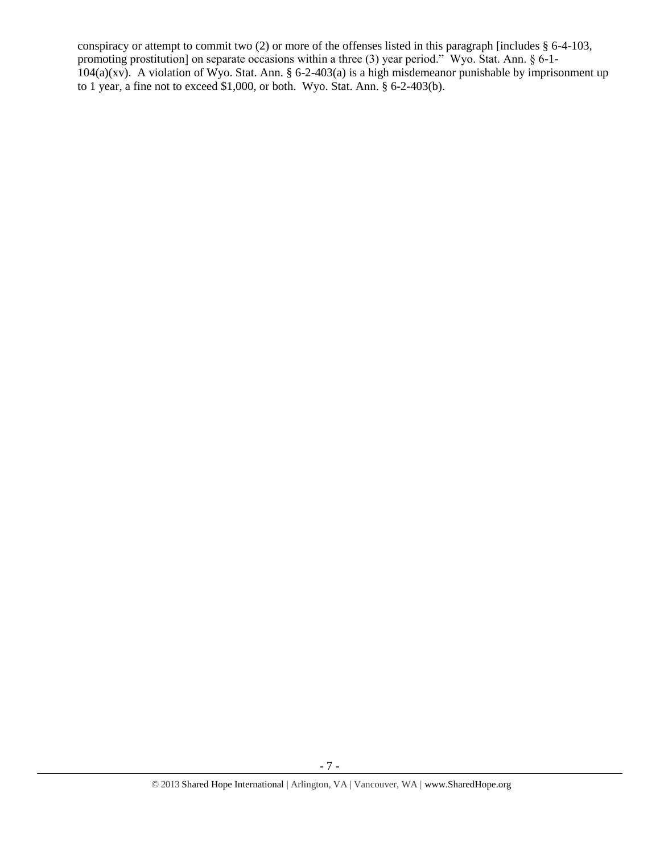conspiracy or attempt to commit two (2) or more of the offenses listed in this paragraph [includes § 6-4-103, promoting prostitution] on separate occasions within a three (3) year period." Wyo. Stat. Ann. § 6-1-  $104(a)(xy)$ . A violation of Wyo. Stat. Ann. § 6-2-403(a) is a high misdemeanor punishable by imprisonment up to 1 year, a fine not to exceed \$1,000, or both. Wyo. Stat. Ann. § 6-2-403(b).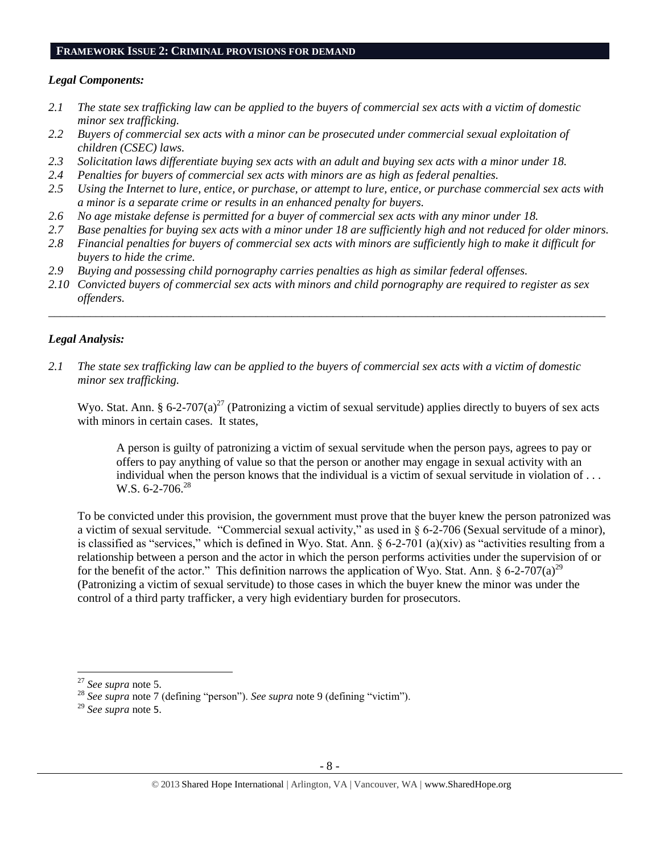#### **FRAMEWORK ISSUE 2: CRIMINAL PROVISIONS FOR DEMAND**

# *Legal Components:*

- *2.1 The state sex trafficking law can be applied to the buyers of commercial sex acts with a victim of domestic minor sex trafficking.*
- *2.2 Buyers of commercial sex acts with a minor can be prosecuted under commercial sexual exploitation of children (CSEC) laws.*
- *2.3 Solicitation laws differentiate buying sex acts with an adult and buying sex acts with a minor under 18.*
- *2.4 Penalties for buyers of commercial sex acts with minors are as high as federal penalties.*
- *2.5 Using the Internet to lure, entice, or purchase, or attempt to lure, entice, or purchase commercial sex acts with a minor is a separate crime or results in an enhanced penalty for buyers.*
- *2.6 No age mistake defense is permitted for a buyer of commercial sex acts with any minor under 18.*
- *2.7 Base penalties for buying sex acts with a minor under 18 are sufficiently high and not reduced for older minors.*
- *2.8 Financial penalties for buyers of commercial sex acts with minors are sufficiently high to make it difficult for buyers to hide the crime.*
- *2.9 Buying and possessing child pornography carries penalties as high as similar federal offenses.*
- *2.10 Convicted buyers of commercial sex acts with minors and child pornography are required to register as sex offenders.*

\_\_\_\_\_\_\_\_\_\_\_\_\_\_\_\_\_\_\_\_\_\_\_\_\_\_\_\_\_\_\_\_\_\_\_\_\_\_\_\_\_\_\_\_\_\_\_\_\_\_\_\_\_\_\_\_\_\_\_\_\_\_\_\_\_\_\_\_\_\_\_\_\_\_\_\_\_\_\_\_\_\_\_\_\_\_\_\_\_\_\_\_\_\_

# *Legal Analysis:*

*2.1 The state sex trafficking law can be applied to the buyers of commercial sex acts with a victim of domestic minor sex trafficking.*

Wyo. Stat. Ann. § 6-2-707(a)<sup>27</sup> (Patronizing a victim of sexual servitude) applies directly to buyers of sex acts with minors in certain cases. It states,

A person is guilty of patronizing a victim of sexual servitude when the person pays, agrees to pay or offers to pay anything of value so that the person or another may engage in sexual activity with an individual when the person knows that the individual is a victim of sexual servitude in violation of . . . W.S.  $6-2-706.28$ 

To be convicted under this provision, the government must prove that the buyer knew the person patronized was a victim of sexual servitude. "Commercial sexual activity," as used in § 6-2-706 (Sexual servitude of a minor), is classified as "services," which is defined in Wyo. Stat. Ann.  $\S 6-2-701$  (a)(xiv) as "activities resulting from a relationship between a person and the actor in which the person performs activities under the supervision of or for the benefit of the actor." This definition narrows the application of Wyo. Stat. Ann.  $\S 6-2-707(a)^{29}$ (Patronizing a victim of sexual servitude) to those cases in which the buyer knew the minor was under the control of a third party trafficker, a very high evidentiary burden for prosecutors.

 $\overline{a}$ 

<sup>27</sup> *See supra* note [5.](#page-1-2)

<sup>28</sup> *See supra* note [7](#page-1-3) (defining "person"). *See supra* note [9](#page-1-4) (defining "victim").

<sup>29</sup> *See supra* note [5](#page-1-2).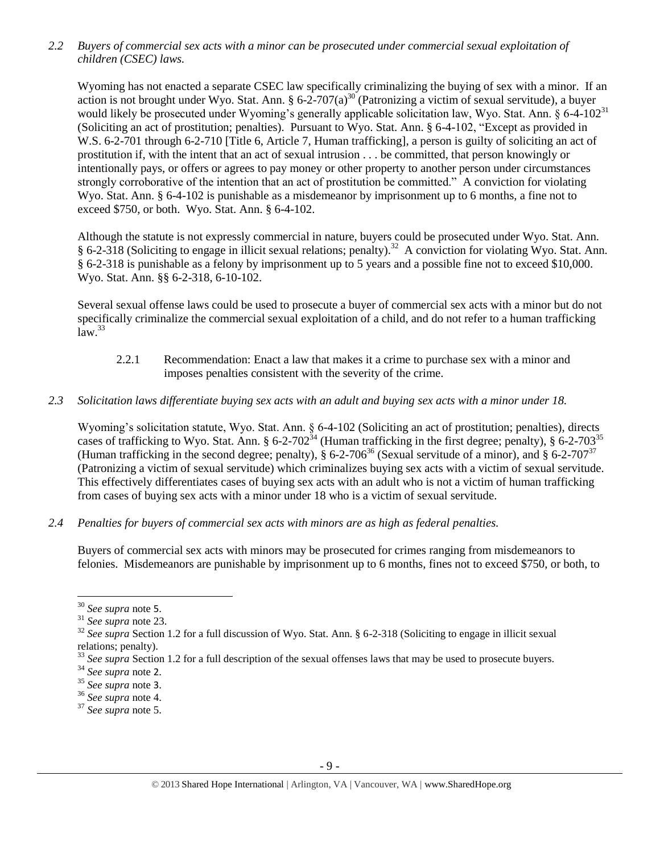*2.2 Buyers of commercial sex acts with a minor can be prosecuted under commercial sexual exploitation of children (CSEC) laws.*

Wyoming has not enacted a separate CSEC law specifically criminalizing the buying of sex with a minor. If an action is not brought under Wyo. Stat. Ann. §  $6\text{-}2\text{-}707(a)^{30}$  (Patronizing a victim of sexual servitude), a buyer would likely be prosecuted under Wyoming's generally applicable solicitation law, Wyo. Stat. Ann. § 6-4-102<sup>31</sup> (Soliciting an act of prostitution; penalties). Pursuant to Wyo. Stat. Ann. § 6-4-102, "Except as provided in W.S. 6-2-701 through 6-2-710 [Title 6, Article 7, Human trafficking], a person is guilty of soliciting an act of prostitution if, with the intent that an act of sexual intrusion . . . be committed, that person knowingly or intentionally pays, or offers or agrees to pay money or other property to another person under circumstances strongly corroborative of the intention that an act of prostitution be committed." A conviction for violating Wyo. Stat. Ann. § 6-4-102 is punishable as a misdemeanor by imprisonment up to 6 months, a fine not to exceed \$750, or both. Wyo. Stat. Ann. § 6-4-102.

Although the statute is not expressly commercial in nature, buyers could be prosecuted under Wyo. Stat. Ann. § 6-2-318 (Soliciting to engage in illicit sexual relations; penalty).<sup>32</sup> A conviction for violating Wyo. Stat. Ann. § 6-2-318 is punishable as a felony by imprisonment up to 5 years and a possible fine not to exceed \$10,000. Wyo. Stat. Ann. §§ 6-2-318, 6-10-102.

Several sexual offense laws could be used to prosecute a buyer of commercial sex acts with a minor but do not specifically criminalize the commercial sexual exploitation of a child, and do not refer to a human trafficking  $law.<sup>33</sup>$ 

- 2.2.1 Recommendation: Enact a law that makes it a crime to purchase sex with a minor and imposes penalties consistent with the severity of the crime.
- *2.3 Solicitation laws differentiate buying sex acts with an adult and buying sex acts with a minor under 18.*

Wyoming's solicitation statute, Wyo. Stat. Ann. § 6-4-102 (Soliciting an act of prostitution; penalties), directs cases of trafficking to Wyo. Stat. Ann. § 6-2-702<sup>34</sup> (Human trafficking in the first degree; penalty), § 6-2-703<sup>35</sup> (Human trafficking in the second degree; penalty), § 6-2-706<sup>36</sup> (Sexual servitude of a minor), and § 6-2-707<sup>37</sup> (Patronizing a victim of sexual servitude) which criminalizes buying sex acts with a victim of sexual servitude. This effectively differentiates cases of buying sex acts with an adult who is not a victim of human trafficking from cases of buying sex acts with a minor under 18 who is a victim of sexual servitude.

*2.4 Penalties for buyers of commercial sex acts with minors are as high as federal penalties.*

Buyers of commercial sex acts with minors may be prosecuted for crimes ranging from misdemeanors to felonies. Misdemeanors are punishable by imprisonment up to 6 months, fines not to exceed \$750, or both, to

 $\overline{\phantom{a}}$ 

<sup>37</sup> *See supra* note [5.](#page-1-2)

<sup>30</sup> *See supra* note [5](#page-1-2).

<sup>31</sup> *See supra* note [23.](#page-5-0)

<sup>&</sup>lt;sup>32</sup> See supra Section 1.2 for a full discussion of Wyo. Stat. Ann. § 6-2-318 (Soliciting to engage in illicit sexual relations; penalty).

<sup>&</sup>lt;sup>33</sup> See supra Section 1.2 for a full description of the sexual offenses laws that may be used to prosecute buyers.

<sup>34</sup> *See supra* note [2](#page-0-0).

<sup>35</sup> *See supra* note [3](#page-1-5).

<sup>36</sup> *See supra* note [4.](#page-1-1)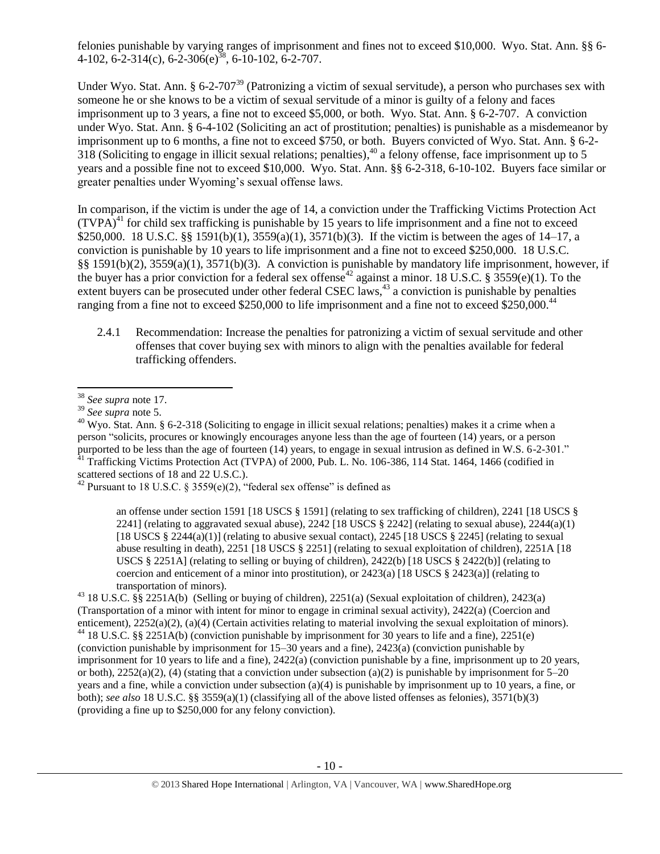felonies punishable by varying ranges of imprisonment and fines not to exceed \$10,000. Wyo. Stat. Ann. §§ 6- 4-102, 6-2-314(c), 6-2-306(e)<sup>38</sup>, 6-10-102, 6-2-707.

Under Wyo. Stat. Ann. § 6-2-707<sup>39</sup> (Patronizing a victim of sexual servitude), a person who purchases sex with someone he or she knows to be a victim of sexual servitude of a minor is guilty of a felony and faces imprisonment up to 3 years, a fine not to exceed \$5,000, or both. Wyo. Stat. Ann. § 6-2-707. A conviction under Wyo. Stat. Ann. § 6-4-102 (Soliciting an act of prostitution; penalties) is punishable as a misdemeanor by imprisonment up to 6 months, a fine not to exceed \$750, or both. Buyers convicted of Wyo. Stat. Ann. § 6-2- 318 (Soliciting to engage in illicit sexual relations; penalties),  $40$  a felony offense, face imprisonment up to 5 years and a possible fine not to exceed \$10,000. Wyo. Stat. Ann. §§ 6-2-318, 6-10-102. Buyers face similar or greater penalties under Wyoming's sexual offense laws.

<span id="page-9-0"></span>In comparison, if the victim is under the age of 14, a conviction under the Trafficking Victims Protection Act  $(TVPA)<sup>41</sup>$  for child sex trafficking is punishable by 15 years to life imprisonment and a fine not to exceed \$250,000. 18 U.S.C. §§ 1591(b)(1), 3559(a)(1), 3571(b)(3). If the victim is between the ages of 14–17, a conviction is punishable by 10 years to life imprisonment and a fine not to exceed \$250,000. 18 U.S.C. §§ 1591(b)(2), 3559(a)(1), 3571(b)(3). A conviction is punishable by mandatory life imprisonment, however, if the buyer has a prior conviction for a federal sex offense<sup>42</sup> against a minor. 18 U.S.C. § 3559(e)(1). To the extent buyers can be prosecuted under other federal CSEC laws,<sup>43</sup> a conviction is punishable by penalties ranging from a fine not to exceed \$250,000 to life imprisonment and a fine not to exceed \$250,000.<sup>44</sup>

<span id="page-9-1"></span>2.4.1 Recommendation: Increase the penalties for patronizing a victim of sexual servitude and other offenses that cover buying sex with minors to align with the penalties available for federal trafficking offenders.

 $\overline{\phantom{a}}$ 

<sup>43</sup> 18 U.S.C. §§ 2251A(b) (Selling or buying of children), 2251(a) (Sexual exploitation of children), 2423(a) (Transportation of a minor with intent for minor to engage in criminal sexual activity), 2422(a) (Coercion and enticement), 2252(a)(2), (a)(4) (Certain activities relating to material involving the sexual exploitation of minors).

 $^{44}$  18 U.S.C. §§ 2251A(b) (conviction punishable by imprisonment for 30 years to life and a fine), 2251(e) (conviction punishable by imprisonment for 15–30 years and a fine), 2423(a) (conviction punishable by imprisonment for 10 years to life and a fine), 2422(a) (conviction punishable by a fine, imprisonment up to 20 years, or both),  $2252(a)(2)$ , (4) (stating that a conviction under subsection (a)(2) is punishable by imprisonment for 5–20 years and a fine, while a conviction under subsection (a)(4) is punishable by imprisonment up to 10 years, a fine, or both); *see also* 18 U.S.C. §§ 3559(a)(1) (classifying all of the above listed offenses as felonies), 3571(b)(3) (providing a fine up to \$250,000 for any felony conviction).

<sup>38</sup> *See supra* note [17.](#page-3-1) 

<sup>39</sup> *See supra* note [5.](#page-1-2)

 $40$  Wyo. Stat. Ann. § 6-2-318 (Soliciting to engage in illicit sexual relations; penalties) makes it a crime when a person "solicits, procures or knowingly encourages anyone less than the age of fourteen (14) years, or a person purported to be less than the age of fourteen (14) years, to engage in sexual intrusion as defined in W.S. 6-2-301."  $^{41}$  Trafficking Victims Protection Act (TVPA) of 2000, Pub. L. No. 106-386, 114 Stat. 1464, 1466 (codified in scattered sections of 18 and 22 U.S.C.).

<sup>&</sup>lt;sup>42</sup> Pursuant to 18 U.S.C. § 3559(e)(2), "federal sex offense" is defined as

an offense under section 1591 [18 USCS § 1591] (relating to sex trafficking of children), 2241 [18 USCS § 2241] (relating to aggravated sexual abuse), 2242 [18 USCS  $\S$  2242] (relating to sexual abuse), 2244(a)(1) [18 USCS § 2244(a)(1)] (relating to abusive sexual contact), 2245 [18 USCS § 2245] (relating to sexual abuse resulting in death), 2251 [18 USCS § 2251] (relating to sexual exploitation of children), 2251A [18 USCS § 2251A] (relating to selling or buying of children), 2422(b) [18 USCS § 2422(b)] (relating to coercion and enticement of a minor into prostitution), or  $2423(a)$  [18 USCS §  $2423(a)$ ] (relating to transportation of minors).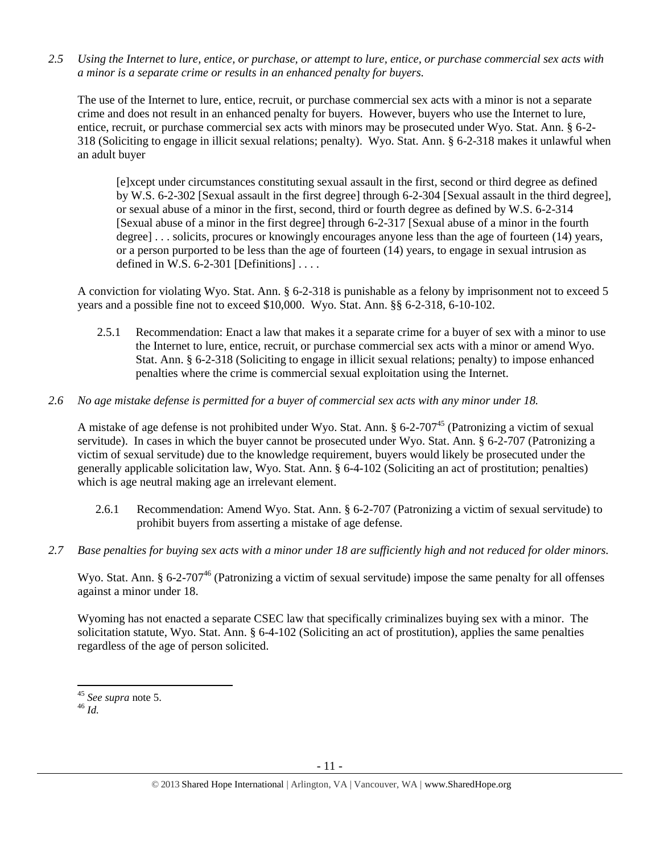*2.5 Using the Internet to lure, entice, or purchase, or attempt to lure, entice, or purchase commercial sex acts with a minor is a separate crime or results in an enhanced penalty for buyers.*

The use of the Internet to lure, entice, recruit, or purchase commercial sex acts with a minor is not a separate crime and does not result in an enhanced penalty for buyers. However, buyers who use the Internet to lure, entice, recruit, or purchase commercial sex acts with minors may be prosecuted under Wyo. Stat. Ann. § 6-2- 318 (Soliciting to engage in illicit sexual relations; penalty). Wyo. Stat. Ann. § 6-2-318 makes it unlawful when an adult buyer

[e]xcept under circumstances constituting sexual assault in the first, second or third degree as defined by W.S. 6-2-302 [Sexual assault in the first degree] through 6-2-304 [Sexual assault in the third degree], or sexual abuse of a minor in the first, second, third or fourth degree as defined by W.S. 6-2-314 [Sexual abuse of a minor in the first degree] through 6-2-317 [Sexual abuse of a minor in the fourth degree]... solicits, procures or knowingly encourages anyone less than the age of fourteen (14) years, or a person purported to be less than the age of fourteen (14) years, to engage in sexual intrusion as defined in W.S.  $6-2-301$  [Definitions] ...

A conviction for violating Wyo. Stat. Ann. § 6-2-318 is punishable as a felony by imprisonment not to exceed 5 years and a possible fine not to exceed \$10,000. Wyo. Stat. Ann. §§ 6-2-318, 6-10-102.

2.5.1 Recommendation: Enact a law that makes it a separate crime for a buyer of sex with a minor to use the Internet to lure, entice, recruit, or purchase commercial sex acts with a minor or amend Wyo. Stat. Ann. § 6-2-318 (Soliciting to engage in illicit sexual relations; penalty) to impose enhanced penalties where the crime is commercial sexual exploitation using the Internet.

# *2.6 No age mistake defense is permitted for a buyer of commercial sex acts with any minor under 18.*

A mistake of age defense is not prohibited under Wyo. Stat. Ann.  $\S 6$ -2-707<sup>45</sup> (Patronizing a victim of sexual servitude). In cases in which the buyer cannot be prosecuted under Wyo. Stat. Ann. § 6-2-707 (Patronizing a victim of sexual servitude) due to the knowledge requirement, buyers would likely be prosecuted under the generally applicable solicitation law, Wyo. Stat. Ann. § 6-4-102 (Soliciting an act of prostitution; penalties) which is age neutral making age an irrelevant element.

- 2.6.1 Recommendation: Amend Wyo. Stat. Ann. § 6-2-707 (Patronizing a victim of sexual servitude) to prohibit buyers from asserting a mistake of age defense.
- *2.7 Base penalties for buying sex acts with a minor under 18 are sufficiently high and not reduced for older minors.*

Wyo. Stat. Ann. § 6-2-707<sup>46</sup> (Patronizing a victim of sexual servitude) impose the same penalty for all offenses against a minor under 18.

Wyoming has not enacted a separate CSEC law that specifically criminalizes buying sex with a minor. The solicitation statute, Wyo. Stat. Ann. § 6-4-102 (Soliciting an act of prostitution), applies the same penalties regardless of the age of person solicited.

<sup>46</sup> *Id.*

<sup>45</sup> *See supra* note [5.](#page-1-2)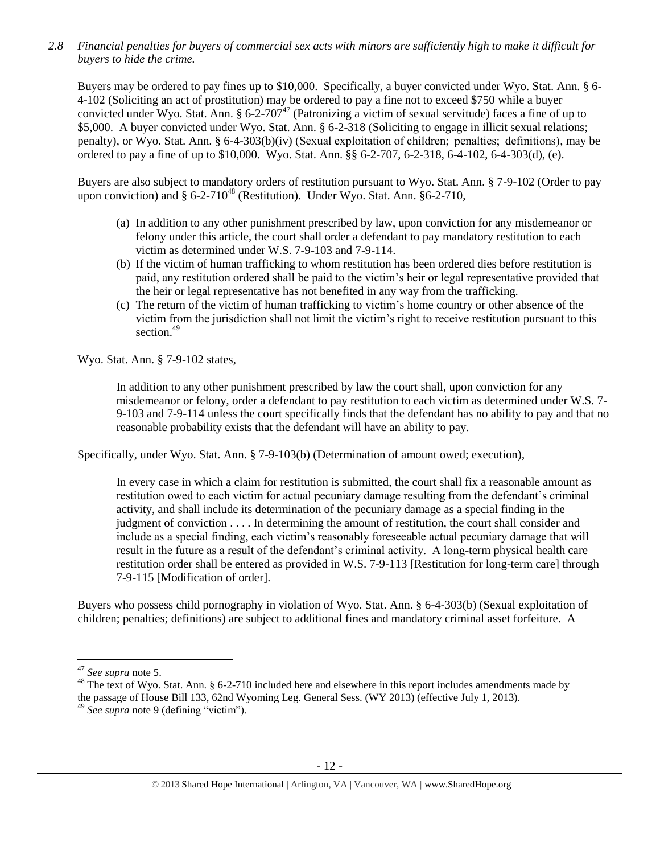*2.8 Financial penalties for buyers of commercial sex acts with minors are sufficiently high to make it difficult for buyers to hide the crime.* 

Buyers may be ordered to pay fines up to \$10,000. Specifically, a buyer convicted under Wyo. Stat. Ann. § 6- 4-102 (Soliciting an act of prostitution) may be ordered to pay a fine not to exceed \$750 while a buyer convicted under Wyo. Stat. Ann. § 6-2-707<sup>47</sup> (Patronizing a victim of sexual servitude) faces a fine of up to \$5,000. A buyer convicted under Wyo. Stat. Ann. § 6-2-318 (Soliciting to engage in illicit sexual relations; penalty), or Wyo. Stat. Ann. § 6-4-303(b)(iv) (Sexual exploitation of children;  penalties;  definitions), may be ordered to pay a fine of up to \$10,000. Wyo. Stat. Ann. §§ 6-2-707, 6-2-318, 6-4-102, 6-4-303(d), (e).

Buyers are also subject to mandatory orders of restitution pursuant to Wyo. Stat. Ann. § 7-9-102 (Order to pay upon conviction) and  $\S 6{\text -}2{\text -}710^{48}$  (Restitution). Under Wyo. Stat. Ann.  $\S 6{\text -}2{\text -}710$ ,

- <span id="page-11-0"></span>(a) In addition to any other punishment prescribed by law, upon conviction for any misdemeanor or felony under this article, the court shall order a defendant to pay mandatory restitution to each victim as determined under W.S. 7-9-103 and 7-9-114.
- (b) If the victim of human trafficking to whom restitution has been ordered dies before restitution is paid, any restitution ordered shall be paid to the victim's heir or legal representative provided that the heir or legal representative has not benefited in any way from the trafficking.
- (c) The return of the victim of human trafficking to victim's home country or other absence of the victim from the jurisdiction shall not limit the victim's right to receive restitution pursuant to this section.<sup>49</sup>

Wyo. Stat. Ann. § 7-9-102 states,

In addition to any other punishment prescribed by law the court shall, upon conviction for any misdemeanor or felony, order a defendant to pay restitution to each victim as determined under W.S. 7- 9-103 and 7-9-114 unless the court specifically finds that the defendant has no ability to pay and that no reasonable probability exists that the defendant will have an ability to pay.

Specifically, under Wyo. Stat. Ann. § 7-9-103(b) (Determination of amount owed; execution),

In every case in which a claim for restitution is submitted, the court shall fix a reasonable amount as restitution owed to each victim for actual pecuniary damage resulting from the defendant's criminal activity, and shall include its determination of the pecuniary damage as a special finding in the judgment of conviction . . . . In determining the amount of restitution, the court shall consider and include as a special finding, each victim's reasonably foreseeable actual pecuniary damage that will result in the future as a result of the defendant's criminal activity. A long-term physical health care restitution order shall be entered as provided in W.S. 7-9-113 [Restitution for long-term care] through 7-9-115 [Modification of order].

Buyers who possess child pornography in violation of Wyo. Stat. Ann. § 6-4-303(b) (Sexual exploitation of children; penalties; definitions) are subject to additional fines and mandatory criminal asset forfeiture. A

<sup>47</sup> *See supra* note [5](#page-1-2).

<sup>&</sup>lt;sup>48</sup> The text of Wyo. Stat. Ann. § 6-2-710 included here and elsewhere in this report includes amendments made by the passage of House Bill 133, 62nd Wyoming Leg. General Sess. (WY 2013) (effective July 1, 2013).

<sup>49</sup> *See supra* note [9](#page-1-4) (defining "victim").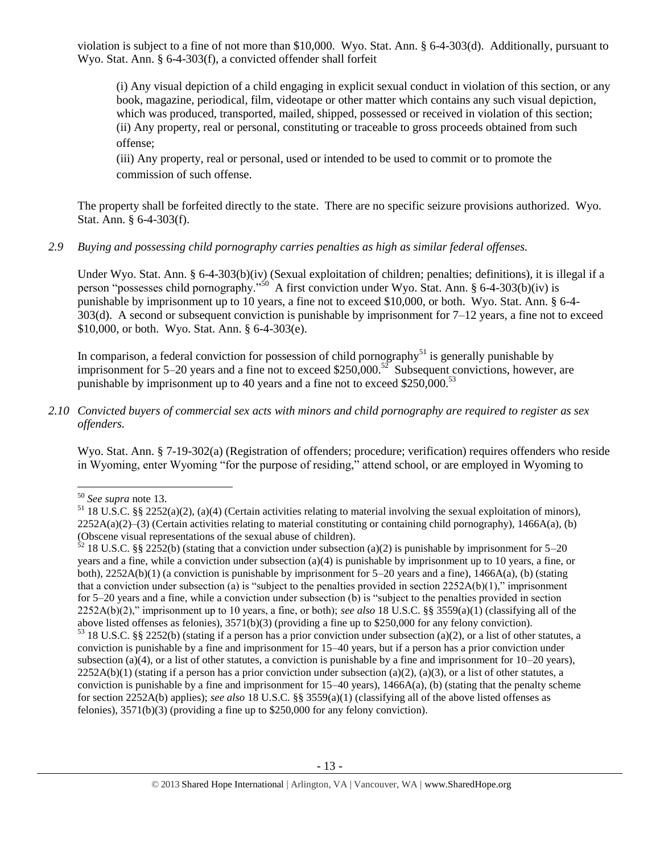violation is subject to a fine of not more than \$10,000. Wyo. Stat. Ann. § 6-4-303(d). Additionally, pursuant to Wyo. Stat. Ann. § 6-4-303(f), a convicted offender shall forfeit

(i) Any visual depiction of a child engaging in explicit sexual conduct in violation of this section, or any book, magazine, periodical, film, videotape or other matter which contains any such visual depiction, which was produced, transported, mailed, shipped, possessed or received in violation of this section; (ii) Any property, real or personal, constituting or traceable to gross proceeds obtained from such offense;

(iii) Any property, real or personal, used or intended to be used to commit or to promote the commission of such offense.

The property shall be forfeited directly to the state. There are no specific seizure provisions authorized. Wyo. Stat. Ann. § 6-4-303(f).

*2.9 Buying and possessing child pornography carries penalties as high as similar federal offenses.*

Under Wyo. Stat. Ann. § 6-4-303(b)(iv) (Sexual exploitation of children; penalties; definitions), it is illegal if a person "possesses child pornography."<sup>50</sup> A first conviction under Wyo. Stat. Ann. § 6-4-303(b)(iv) is punishable by imprisonment up to 10 years, a fine not to exceed \$10,000, or both. Wyo. Stat. Ann. § 6-4- 303(d). A second or subsequent conviction is punishable by imprisonment for 7–12 years, a fine not to exceed \$10,000, or both. Wyo. Stat. Ann. § 6-4-303(e).

In comparison, a federal conviction for possession of child pornography<sup>51</sup> is generally punishable by imprisonment for 5–20 years and a fine not to exceed \$250,000.<sup>52</sup> Subsequent convictions, however, are punishable by imprisonment up to 40 years and a fine not to exceed  $$250,000.<sup>53</sup>$ 

*2.10 Convicted buyers of commercial sex acts with minors and child pornography are required to register as sex offenders.* 

Wyo. Stat. Ann. § 7-19-302(a) (Registration of offenders; procedure; verification) requires offenders who reside in Wyoming, enter Wyoming "for the purpose of residing," attend school, or are employed in Wyoming to

 $\overline{a}$ <sup>50</sup> *See supra* note [13.](#page-2-0) 

 $51$  18 U.S.C. §§ 2252(a)(2), (a)(4) (Certain activities relating to material involving the sexual exploitation of minors),  $2252A(a)(2)$ –(3) (Certain activities relating to material constituting or containing child pornography), 1466A(a), (b) (Obscene visual representations of the sexual abuse of children).

 $52$  18 U.S.C. §§ 2252(b) (stating that a conviction under subsection (a)(2) is punishable by imprisonment for 5–20 years and a fine, while a conviction under subsection (a)(4) is punishable by imprisonment up to 10 years, a fine, or both),  $2252A(b)(1)$  (a conviction is punishable by imprisonment for  $5-20$  years and a fine),  $1466A(a)$ , (b) (stating that a conviction under subsection (a) is "subject to the penalties provided in section  $2252A(b)(1)$ ," imprisonment for 5–20 years and a fine, while a conviction under subsection (b) is "subject to the penalties provided in section 2252A(b)(2)," imprisonment up to 10 years, a fine, or both); *see also* 18 U.S.C. §§ 3559(a)(1) (classifying all of the above listed offenses as felonies), 3571(b)(3) (providing a fine up to \$250,000 for any felony conviction).

<sup>53</sup> 18 U.S.C. §§ 2252(b) (stating if a person has a prior conviction under subsection (a)(2), or a list of other statutes, a conviction is punishable by a fine and imprisonment for 15–40 years, but if a person has a prior conviction under subsection (a)(4), or a list of other statutes, a conviction is punishable by a fine and imprisonment for  $10-20$  years),  $2252A(b)(1)$  (stating if a person has a prior conviction under subsection (a)(2), (a)(3), or a list of other statutes, a conviction is punishable by a fine and imprisonment for  $15-40$  years),  $1466A(a)$ , (b) (stating that the penalty scheme for section 2252A(b) applies); *see also* 18 U.S.C. §§ 3559(a)(1) (classifying all of the above listed offenses as felonies), 3571(b)(3) (providing a fine up to \$250,000 for any felony conviction).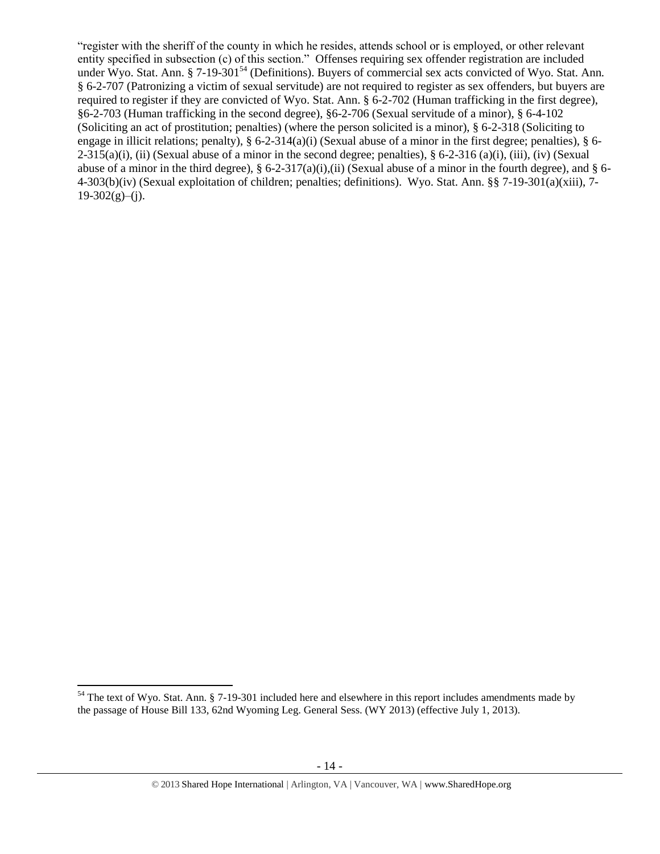<span id="page-13-0"></span>"register with the sheriff of the county in which he resides, attends school or is employed, or other relevant entity specified in subsection (c) of this section." Offenses requiring sex offender registration are included under Wyo. Stat. Ann. § 7-19-301<sup>54</sup> (Definitions). Buyers of commercial sex acts convicted of Wyo. Stat. Ann. § 6-2-707 (Patronizing a victim of sexual servitude) are not required to register as sex offenders, but buyers are required to register if they are convicted of Wyo. Stat. Ann. § 6-2-702 (Human trafficking in the first degree), §6-2-703 (Human trafficking in the second degree), §6-2-706 (Sexual servitude of a minor), § 6-4-102 (Soliciting an act of prostitution; penalties) (where the person solicited is a minor), § 6-2-318 (Soliciting to engage in illicit relations; penalty), § 6-2-314(a)(i) (Sexual abuse of a minor in the first degree; penalties), § 6-  $2-315(a)(i)$ , (ii) (Sexual abuse of a minor in the second degree; penalties), § 6-2-316 (a)(i), (iii), (iv) (Sexual abuse of a minor in the third degree),  $\S$  6-2-317(a)(i),(ii) (Sexual abuse of a minor in the fourth degree), and  $\S$  6-4-303(b)(iv) (Sexual exploitation of children; penalties; definitions). Wyo. Stat. Ann. §§ 7-19-301(a)(xiii), 7-  $19-302(g)$ –(j).

 $54$  The text of Wyo. Stat. Ann. § 7-19-301 included here and elsewhere in this report includes amendments made by the passage of House Bill 133, 62nd Wyoming Leg. General Sess. (WY 2013) (effective July 1, 2013).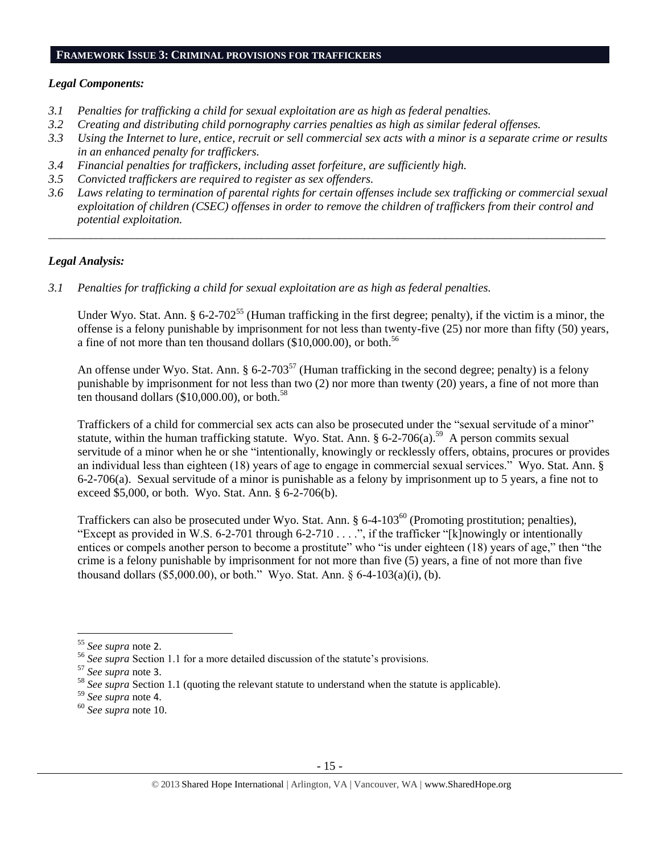### **FRAMEWORK ISSUE 3: CRIMINAL PROVISIONS FOR TRAFFICKERS**

# *Legal Components:*

- *3.1 Penalties for trafficking a child for sexual exploitation are as high as federal penalties.*
- *3.2 Creating and distributing child pornography carries penalties as high as similar federal offenses.*
- *3.3 Using the Internet to lure, entice, recruit or sell commercial sex acts with a minor is a separate crime or results in an enhanced penalty for traffickers.*
- *3.4 Financial penalties for traffickers, including asset forfeiture, are sufficiently high.*
- *3.5 Convicted traffickers are required to register as sex offenders.*
- *3.6 Laws relating to termination of parental rights for certain offenses include sex trafficking or commercial sexual exploitation of children (CSEC) offenses in order to remove the children of traffickers from their control and potential exploitation.*

*\_\_\_\_\_\_\_\_\_\_\_\_\_\_\_\_\_\_\_\_\_\_\_\_\_\_\_\_\_\_\_\_\_\_\_\_\_\_\_\_\_\_\_\_\_\_\_\_\_\_\_\_\_\_\_\_\_\_\_\_\_\_\_\_\_\_\_\_\_\_\_\_\_\_\_\_\_\_\_\_\_\_\_\_\_\_\_\_\_\_\_\_\_\_*

# *Legal Analysis:*

*3.1 Penalties for trafficking a child for sexual exploitation are as high as federal penalties.* 

Under Wyo. Stat. Ann.  $\S 6$ -2-702<sup>55</sup> (Human trafficking in the first degree; penalty), if the victim is a minor, the offense is a felony punishable by imprisonment for not less than twenty-five (25) nor more than fifty (50) years, a fine of not more than ten thousand dollars (\$10,000.00), or both.<sup>56</sup>

An offense under Wyo. Stat. Ann. § 6-2-703<sup>57</sup> (Human trafficking in the second degree; penalty) is a felony punishable by imprisonment for not less than two (2) nor more than twenty (20) years, a fine of not more than ten thousand dollars  $(\$10,000.00)$ , or both.<sup>58</sup>

Traffickers of a child for commercial sex acts can also be prosecuted under the "sexual servitude of a minor" statute, within the human trafficking statute. Wyo. Stat. Ann.  $\S 6$ -2-706(a).<sup>59</sup> A person commits sexual servitude of a minor when he or she "intentionally, knowingly or recklessly offers, obtains, procures or provides an individual less than eighteen (18) years of age to engage in commercial sexual services." Wyo. Stat. Ann. § 6-2-706(a). Sexual servitude of a minor is punishable as a felony by imprisonment up to 5 years, a fine not to exceed \$5,000, or both. Wyo. Stat. Ann. § 6-2-706(b).

Traffickers can also be prosecuted under Wyo. Stat. Ann. § 6-4-103<sup>60</sup> (Promoting prostitution; penalties), "Except as provided in W.S. 6-2-701 through 6-2-710 . . . .", if the trafficker "[k]nowingly or intentionally entices or compels another person to become a prostitute" who "is under eighteen (18) years of age," then "the crime is a felony punishable by imprisonment for not more than five (5) years, a fine of not more than five thousand dollars (\$5,000.00), or both." Wyo. Stat. Ann. § 6-4-103(a)(i), (b).

l

<sup>55</sup> *See supra* note [2](#page-0-0).

<sup>56</sup> *See supra* Section 1.1 for a more detailed discussion of the statute's provisions.

<sup>57</sup> *See supra* note [3](#page-1-5).

<sup>&</sup>lt;sup>58</sup> See supra Section 1.1 (quoting the relevant statute to understand when the statute is applicable).

<sup>59</sup> *See supra* note [4](#page-1-1).

<sup>60</sup> *See supra* note [10.](#page-1-0)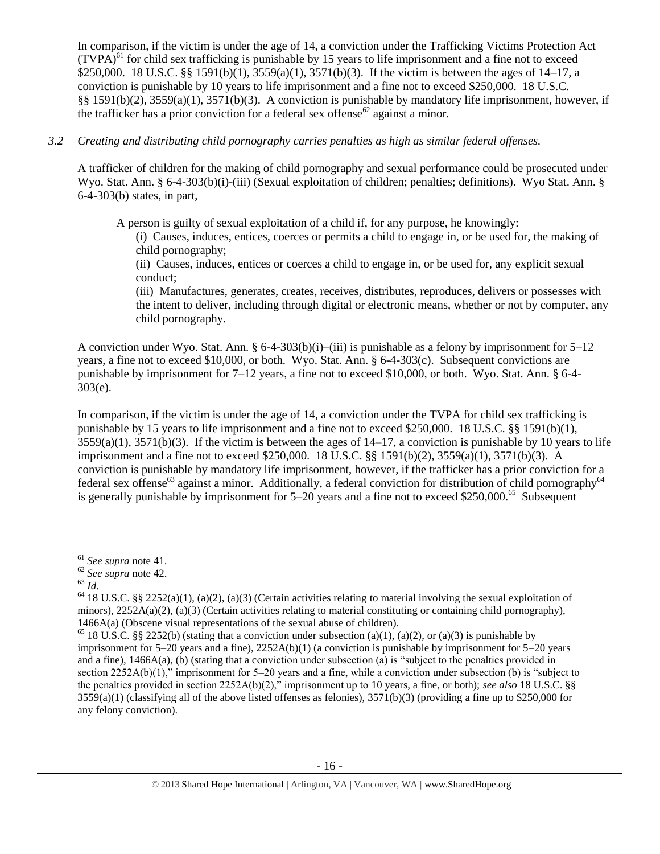In comparison, if the victim is under the age of 14, a conviction under the Trafficking Victims Protection Act  $(TVPA)<sup>61</sup>$  for child sex trafficking is punishable by 15 years to life imprisonment and a fine not to exceed \$250,000. 18 U.S.C. §§ 1591(b)(1), 3559(a)(1), 3571(b)(3). If the victim is between the ages of 14–17, a conviction is punishable by 10 years to life imprisonment and a fine not to exceed \$250,000. 18 U.S.C. §§ 1591(b)(2), 3559(a)(1), 3571(b)(3). A conviction is punishable by mandatory life imprisonment, however, if the trafficker has a prior conviction for a federal sex offense<sup>62</sup> against a minor.

# *3.2 Creating and distributing child pornography carries penalties as high as similar federal offenses.*

A trafficker of children for the making of child pornography and sexual performance could be prosecuted under Wyo. Stat. Ann. § 6-4-303(b)(i)-(iii) (Sexual exploitation of children; penalties; definitions). Wyo Stat. Ann. § 6-4-303(b) states, in part,

A person is guilty of sexual exploitation of a child if, for any purpose, he knowingly:

(i) Causes, induces, entices, coerces or permits a child to engage in, or be used for, the making of child pornography;

(ii) Causes, induces, entices or coerces a child to engage in, or be used for, any explicit sexual conduct;

(iii) Manufactures, generates, creates, receives, distributes, reproduces, delivers or possesses with the intent to deliver, including through digital or electronic means, whether or not by computer, any child pornography.

A conviction under Wyo. Stat. Ann.  $\S 6-4-303(b)(i)$ –(iii) is punishable as a felony by imprisonment for  $5-12$ years, a fine not to exceed \$10,000, or both. Wyo. Stat. Ann. § 6-4-303(c). Subsequent convictions are punishable by imprisonment for 7–12 years, a fine not to exceed \$10,000, or both. Wyo. Stat. Ann. § 6-4- 303(e).

In comparison, if the victim is under the age of 14, a conviction under the TVPA for child sex trafficking is punishable by 15 years to life imprisonment and a fine not to exceed \$250,000. 18 U.S.C. §§ 1591(b)(1),  $3559(a)(1)$ ,  $3571(b)(3)$ . If the victim is between the ages of  $14-17$ , a conviction is punishable by 10 years to life imprisonment and a fine not to exceed \$250,000. 18 U.S.C. §§ 1591(b)(2), 3559(a)(1), 3571(b)(3). A conviction is punishable by mandatory life imprisonment, however, if the trafficker has a prior conviction for a federal sex offense<sup>63</sup> against a minor. Additionally, a federal conviction for distribution of child pornography<sup>64</sup> is generally punishable by imprisonment for 5–20 years and a fine not to exceed \$250,000.<sup>65</sup> Subsequent

<sup>63</sup> *Id*.

l

<sup>61</sup> *See supra* note [41.](#page-9-0)

<sup>62</sup> *See supra* note [42.](#page-9-1)

 $64$  18 U.S.C. §§ 2252(a)(1), (a)(2), (a)(3) (Certain activities relating to material involving the sexual exploitation of minors),  $2252A(a)(2)$ , (a)(3) (Certain activities relating to material constituting or containing child pornography), 1466A(a) (Obscene visual representations of the sexual abuse of children).

<sup>&</sup>lt;sup>65</sup> 18 U.S.C. §§ 2252(b) (stating that a conviction under subsection (a)(1), (a)(2), or (a)(3) is punishable by imprisonment for 5–20 years and a fine), 2252A(b)(1) (a conviction is punishable by imprisonment for 5–20 years and a fine), 1466A(a), (b) (stating that a conviction under subsection (a) is "subject to the penalties provided in section 2252A(b)(1)," imprisonment for 5–20 years and a fine, while a conviction under subsection (b) is "subject to the penalties provided in section 2252A(b)(2)," imprisonment up to 10 years, a fine, or both); *see also* 18 U.S.C. §§  $3559(a)(1)$  (classifying all of the above listed offenses as felonies),  $3571(b)(3)$  (providing a fine up to \$250,000 for any felony conviction).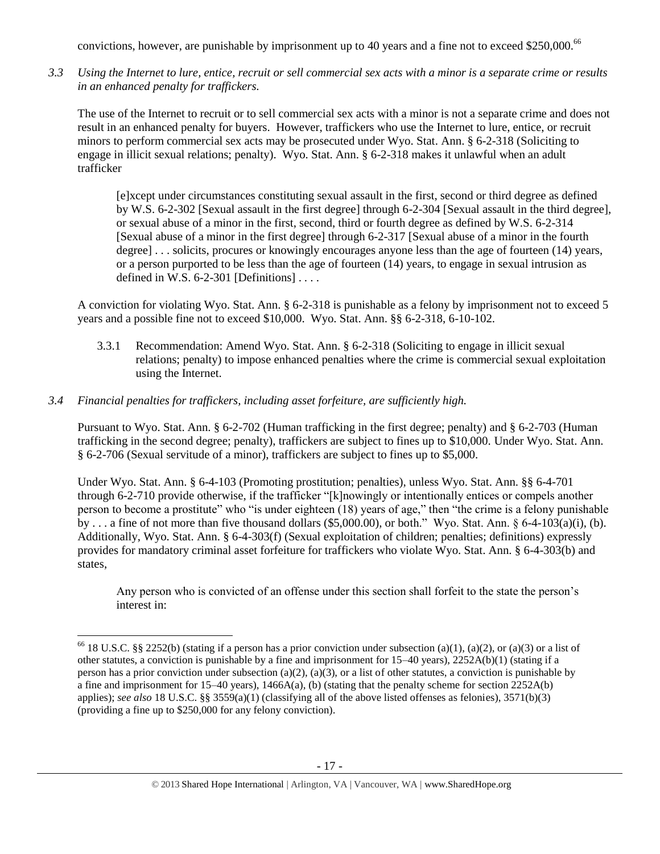convictions, however, are punishable by imprisonment up to 40 years and a fine not to exceed \$250,000.<sup>66</sup>

*3.3 Using the Internet to lure, entice, recruit or sell commercial sex acts with a minor is a separate crime or results in an enhanced penalty for traffickers.*

The use of the Internet to recruit or to sell commercial sex acts with a minor is not a separate crime and does not result in an enhanced penalty for buyers. However, traffickers who use the Internet to lure, entice, or recruit minors to perform commercial sex acts may be prosecuted under Wyo. Stat. Ann. § 6-2-318 (Soliciting to engage in illicit sexual relations; penalty). Wyo. Stat. Ann. § 6-2-318 makes it unlawful when an adult trafficker

[e]xcept under circumstances constituting sexual assault in the first, second or third degree as defined by W.S. 6-2-302 [Sexual assault in the first degree] through 6-2-304 [Sexual assault in the third degree], or sexual abuse of a minor in the first, second, third or fourth degree as defined by W.S. 6-2-314 [Sexual abuse of a minor in the first degree] through 6-2-317 [Sexual abuse of a minor in the fourth degree] . . . solicits, procures or knowingly encourages anyone less than the age of fourteen (14) years, or a person purported to be less than the age of fourteen (14) years, to engage in sexual intrusion as defined in W.S.  $6-2-301$  [Definitions] ...

A conviction for violating Wyo. Stat. Ann. § 6-2-318 is punishable as a felony by imprisonment not to exceed 5 years and a possible fine not to exceed \$10,000. Wyo. Stat. Ann. §§ 6-2-318, 6-10-102.

- 3.3.1 Recommendation: Amend Wyo. Stat. Ann. § 6-2-318 (Soliciting to engage in illicit sexual relations; penalty) to impose enhanced penalties where the crime is commercial sexual exploitation using the Internet.
- *3.4 Financial penalties for traffickers, including asset forfeiture, are sufficiently high.*

 $\overline{a}$ 

Pursuant to Wyo. Stat. Ann. § 6-2-702 (Human trafficking in the first degree; penalty) and § 6-2-703 (Human trafficking in the second degree; penalty), traffickers are subject to fines up to \$10,000. Under Wyo. Stat. Ann. § 6-2-706 (Sexual servitude of a minor), traffickers are subject to fines up to \$5,000.

Under Wyo. Stat. Ann. § 6-4-103 (Promoting prostitution; penalties), unless Wyo. Stat. Ann. §§ 6-4-701 through 6-2-710 provide otherwise, if the trafficker "[k]nowingly or intentionally entices or compels another person to become a prostitute" who "is under eighteen (18) years of age," then "the crime is a felony punishable by . . . a fine of not more than five thousand dollars (\$5,000.00), or both." Wyo. Stat. Ann. § 6-4-103(a)(i), (b). Additionally, Wyo. Stat. Ann. § 6-4-303(f) (Sexual exploitation of children; penalties; definitions) expressly provides for mandatory criminal asset forfeiture for traffickers who violate Wyo. Stat. Ann. § 6-4-303(b) and states,

Any person who is convicted of an offense under this section shall forfeit to the state the person's interest in:

<sup>&</sup>lt;sup>66</sup> 18 U.S.C. §§ 2252(b) (stating if a person has a prior conviction under subsection (a)(1), (a)(2), or (a)(3) or a list of other statutes, a conviction is punishable by a fine and imprisonment for 15–40 years), 2252A(b)(1) (stating if a person has a prior conviction under subsection (a)(2), (a)(3), or a list of other statutes, a conviction is punishable by a fine and imprisonment for 15–40 years), 1466A(a), (b) (stating that the penalty scheme for section 2252A(b) applies); *see also* 18 U.S.C. §§ 3559(a)(1) (classifying all of the above listed offenses as felonies), 3571(b)(3) (providing a fine up to \$250,000 for any felony conviction).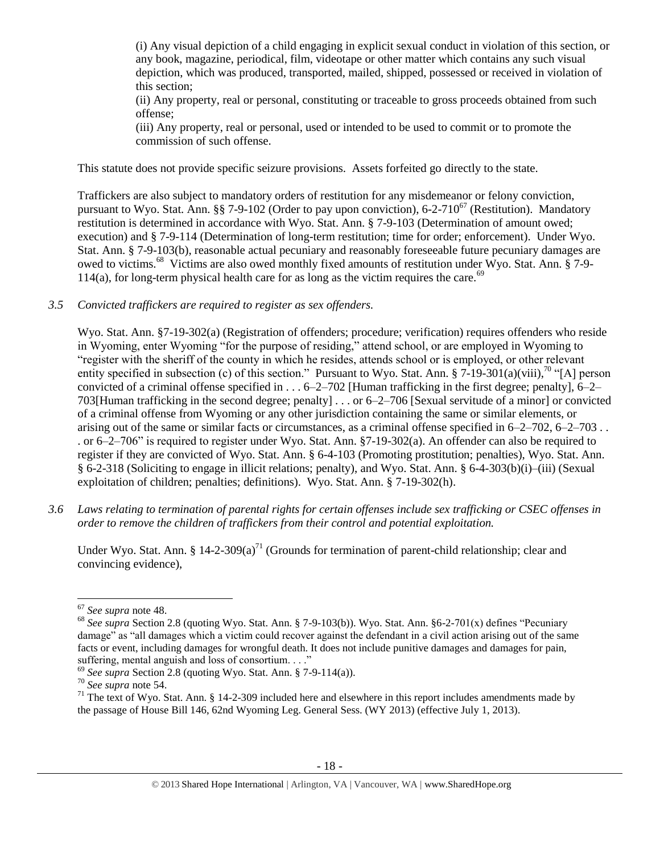(i) Any visual depiction of a child engaging in explicit sexual conduct in violation of this section, or any book, magazine, periodical, film, videotape or other matter which contains any such visual depiction, which was produced, transported, mailed, shipped, possessed or received in violation of this section;

(ii) Any property, real or personal, constituting or traceable to gross proceeds obtained from such offense;

(iii) Any property, real or personal, used or intended to be used to commit or to promote the commission of such offense.

This statute does not provide specific seizure provisions. Assets forfeited go directly to the state.

Traffickers are also subject to mandatory orders of restitution for any misdemeanor or felony conviction, pursuant to Wyo. Stat. Ann. §§ 7-9-102 (Order to pay upon conviction), 6-2-710<sup>67</sup> (Restitution). Mandatory restitution is determined in accordance with Wyo. Stat. Ann. § 7-9-103 (Determination of amount owed; execution) and § 7-9-114 (Determination of long-term restitution; time for order; enforcement). Under Wyo. Stat. Ann. § 7-9-103(b), reasonable actual pecuniary and reasonably foreseeable future pecuniary damages are owed to victims.<sup>68</sup> Victims are also owed monthly fixed amounts of restitution under Wyo. Stat. Ann. § 7-9- 114(a), for long-term physical health care for as long as the victim requires the care.<sup>69</sup>

*3.5 Convicted traffickers are required to register as sex offenders.*

Wyo. Stat. Ann. §7-19-302(a) (Registration of offenders; procedure; verification) requires offenders who reside in Wyoming, enter Wyoming "for the purpose of residing," attend school, or are employed in Wyoming to "register with the sheriff of the county in which he resides, attends school or is employed, or other relevant entity specified in subsection (c) of this section." Pursuant to Wyo. Stat. Ann. § 7-19-301(a)(viii),<sup>70</sup> "[A] person convicted of a criminal offense specified in  $\dots$  6–2–702 [Human trafficking in the first degree; penalty], 6–2– 703[Human trafficking in the second degree; penalty] . . . or 6–2–706 [Sexual servitude of a minor] or convicted of a criminal offense from Wyoming or any other jurisdiction containing the same or similar elements, or arising out of the same or similar facts or circumstances, as a criminal offense specified in 6–2–702, 6–2–703 . . . or 6–2–706" is required to register under Wyo. Stat. Ann. §7-19-302(a). An offender can also be required to register if they are convicted of Wyo. Stat. Ann. § 6-4-103 (Promoting prostitution; penalties), Wyo. Stat. Ann. § 6-2-318 (Soliciting to engage in illicit relations; penalty), and Wyo. Stat. Ann. § 6-4-303(b)(i)–(iii) (Sexual exploitation of children; penalties; definitions). Wyo. Stat. Ann. § 7-19-302(h).

*3.6 Laws relating to termination of parental rights for certain offenses include sex trafficking or CSEC offenses in order to remove the children of traffickers from their control and potential exploitation.*

Under Wyo. Stat. Ann. § 14-2-309(a)<sup>71</sup> (Grounds for termination of parent-child relationship; clear and convincing evidence),

 $\overline{\phantom{a}}$ <sup>67</sup> *See supra* note [48.](#page-11-0) 

<sup>68</sup> *See supra* Section 2.8 (quoting Wyo. Stat. Ann. § 7-9-103(b)). Wyo. Stat. Ann. §6-2-701(x) defines "Pecuniary damage" as "all damages which a victim could recover against the defendant in a civil action arising out of the same facts or event, including damages for wrongful death. It does not include punitive damages and damages for pain, suffering, mental anguish and loss of consortium...."

<sup>69</sup> *See supra* Section 2.8 (quoting Wyo. Stat. Ann. § 7-9-114(a)).

<sup>70</sup> *See supra* note [54.](#page-13-0)

 $71$  The text of Wyo. Stat. Ann. § 14-2-309 included here and elsewhere in this report includes amendments made by the passage of House Bill 146, 62nd Wyoming Leg. General Sess. (WY 2013) (effective July 1, 2013).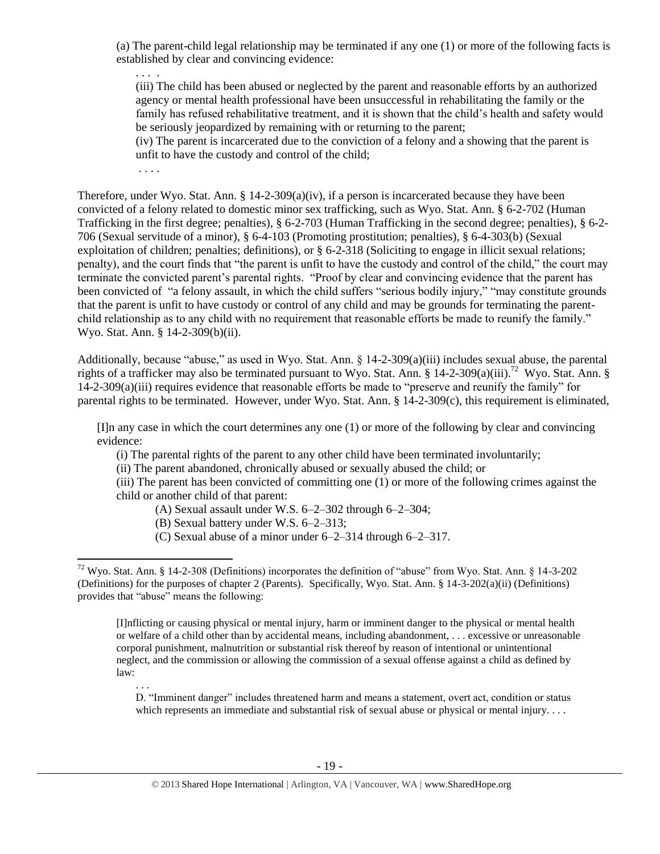(a) The parent-child legal relationship may be terminated if any one (1) or more of the following facts is established by clear and convincing evidence:

. . . .

(iii) The child has been abused or neglected by the parent and reasonable efforts by an authorized agency or mental health professional have been unsuccessful in rehabilitating the family or the family has refused rehabilitative treatment, and it is shown that the child's health and safety would be seriously jeopardized by remaining with or returning to the parent;

(iv) The parent is incarcerated due to the conviction of a felony and a showing that the parent is unfit to have the custody and control of the child;

. . . .

Therefore, under Wyo. Stat. Ann.  $\S 14$ -2-309(a)(iv), if a person is incarcerated because they have been convicted of a felony related to domestic minor sex trafficking, such as Wyo. Stat. Ann. § 6-2-702 (Human Trafficking in the first degree; penalties), § 6-2-703 (Human Trafficking in the second degree; penalties), § 6-2- 706 (Sexual servitude of a minor), § 6-4-103 (Promoting prostitution; penalties), § 6-4-303(b) (Sexual exploitation of children; penalties; definitions), or § 6-2-318 (Soliciting to engage in illicit sexual relations; penalty), and the court finds that "the parent is unfit to have the custody and control of the child," the court may terminate the convicted parent's parental rights. "Proof by clear and convincing evidence that the parent has been convicted of "a felony assault, in which the child suffers "serious bodily injury," "may constitute grounds that the parent is unfit to have custody or control of any child and may be grounds for terminating the parentchild relationship as to any child with no requirement that reasonable efforts be made to reunify the family." Wyo. Stat. Ann. § 14-2-309(b)(ii).

Additionally, because "abuse," as used in Wyo. Stat. Ann. § 14-2-309(a)(iii) includes sexual abuse, the parental rights of a trafficker may also be terminated pursuant to Wyo. Stat. Ann. § 14-2-309(a)(iii).<sup>72</sup> Wyo. Stat. Ann. § 14-2-309(a)(iii) requires evidence that reasonable efforts be made to "preserve and reunify the family" for parental rights to be terminated. However, under Wyo. Stat. Ann.  $\S$  14-2-309(c), this requirement is eliminated,

[I]n any case in which the court determines any one (1) or more of the following by clear and convincing evidence:

(i) The parental rights of the parent to any other child have been terminated involuntarily;

(ii) The parent abandoned, chronically abused or sexually abused the child; or

(iii) The parent has been convicted of committing one (1) or more of the following crimes against the child or another child of that parent:

(A) Sexual assault under W.S. 6–2–302 through 6–2–304;

(B) Sexual battery under W.S. 6–2–313;

(C) Sexual abuse of a minor under 6–2–314 through 6–2–317.

[I]nflicting or causing physical or mental injury, harm or imminent danger to the physical or mental health or welfare of a child other than by accidental means, including abandonment, . . . excessive or unreasonable corporal punishment, malnutrition or substantial risk thereof by reason of intentional or unintentional neglect, and the commission or allowing the commission of a sexual offense against a child as defined by law:

. . . D. "Imminent danger" includes threatened harm and means a statement, overt act, condition or status which represents an immediate and substantial risk of sexual abuse or physical or mental injury. . . .

l <sup>72</sup> Wyo. Stat. Ann. § 14-2-308 (Definitions) incorporates the definition of "abuse" from Wyo. Stat. Ann. § 14-3-202 (Definitions) for the purposes of chapter 2 (Parents). Specifically, Wyo. Stat. Ann. § 14-3-202(a)(ii) (Definitions) provides that "abuse" means the following: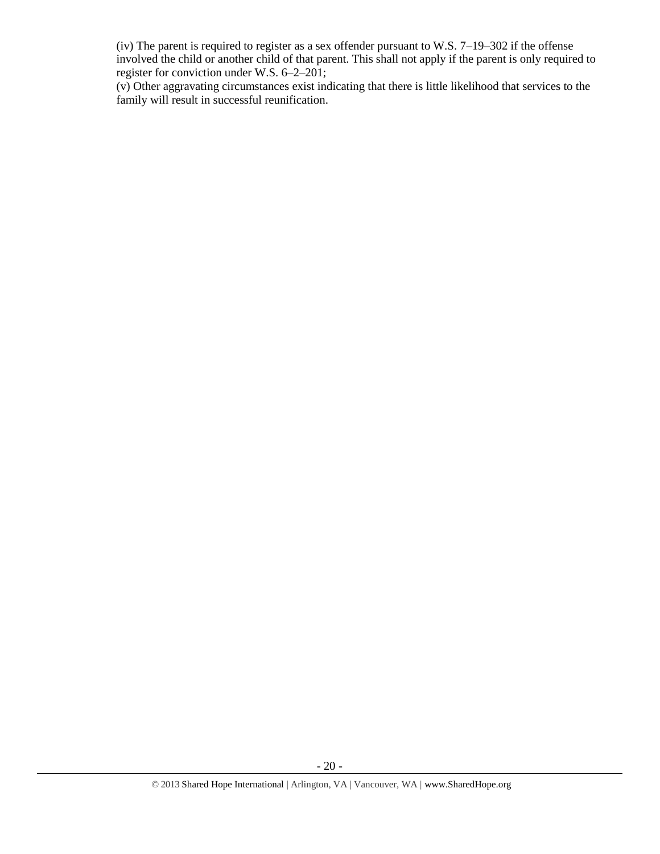(iv) The parent is required to register as a sex offender pursuant to W.S. 7–19–302 if the offense involved the child or another child of that parent. This shall not apply if the parent is only required to register for conviction under W.S. 6–2–201;

(v) Other aggravating circumstances exist indicating that there is little likelihood that services to the family will result in successful reunification.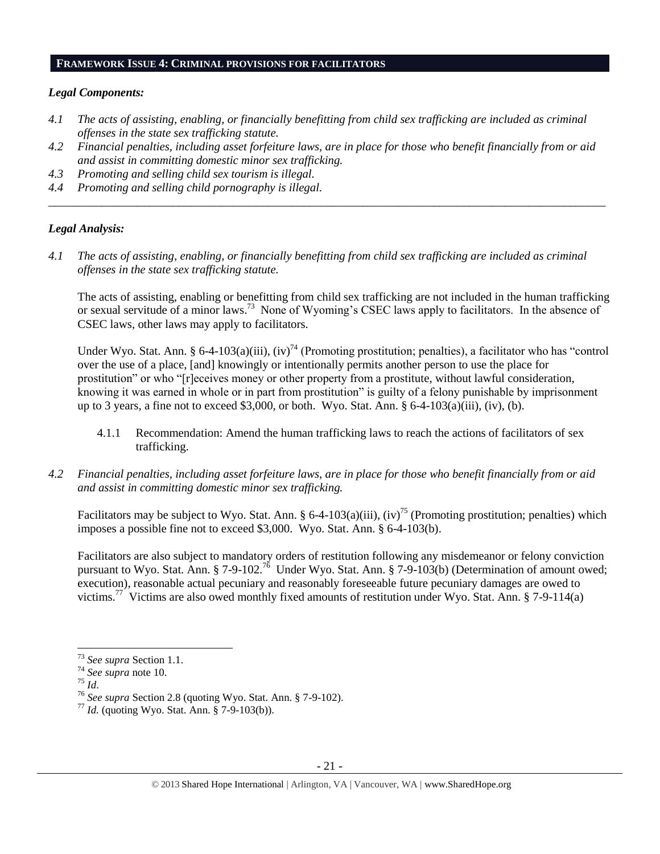#### **FRAMEWORK ISSUE 4: CRIMINAL PROVISIONS FOR FACILITATORS**

### *Legal Components:*

- *4.1 The acts of assisting, enabling, or financially benefitting from child sex trafficking are included as criminal offenses in the state sex trafficking statute.*
- *4.2 Financial penalties, including asset forfeiture laws, are in place for those who benefit financially from or aid and assist in committing domestic minor sex trafficking.*

*\_\_\_\_\_\_\_\_\_\_\_\_\_\_\_\_\_\_\_\_\_\_\_\_\_\_\_\_\_\_\_\_\_\_\_\_\_\_\_\_\_\_\_\_\_\_\_\_\_\_\_\_\_\_\_\_\_\_\_\_\_\_\_\_\_\_\_\_\_\_\_\_\_\_\_\_\_\_\_\_\_\_\_\_\_\_\_\_\_\_\_\_\_\_*

- *4.3 Promoting and selling child sex tourism is illegal.*
- *4.4 Promoting and selling child pornography is illegal.*

# *Legal Analysis:*

*4.1 The acts of assisting, enabling, or financially benefitting from child sex trafficking are included as criminal offenses in the state sex trafficking statute.*

The acts of assisting, enabling or benefitting from child sex trafficking are not included in the human trafficking or sexual servitude of a minor laws.<sup>73</sup> None of Wyoming's CSEC laws apply to facilitators. In the absence of CSEC laws, other laws may apply to facilitators.

Under Wyo. Stat. Ann. § 6-4-103(a)(iii),  $(iv)^{74}$  (Promoting prostitution; penalties), a facilitator who has "control over the use of a place, [and] knowingly or intentionally permits another person to use the place for prostitution" or who "[r]eceives money or other property from a prostitute, without lawful consideration, knowing it was earned in whole or in part from prostitution" is guilty of a felony punishable by imprisonment up to 3 years, a fine not to exceed \$3,000, or both. Wyo. Stat. Ann.  $\S 6-4-103(a)(iii)$ , (iv), (b).

- 4.1.1 Recommendation: Amend the human trafficking laws to reach the actions of facilitators of sex trafficking.
- *4.2 Financial penalties, including asset forfeiture laws, are in place for those who benefit financially from or aid and assist in committing domestic minor sex trafficking.*

Facilitators may be subject to Wyo. Stat. Ann. § 6-4-103(a)(iii), (iv)<sup>75</sup> (Promoting prostitution; penalties) which imposes a possible fine not to exceed \$3,000. Wyo. Stat. Ann. § 6-4-103(b).

Facilitators are also subject to mandatory orders of restitution following any misdemeanor or felony conviction pursuant to Wyo. Stat. Ann. § 7-9-102.<sup>76</sup> Under Wyo. Stat. Ann. § 7-9-103(b) (Determination of amount owed; execution), reasonable actual pecuniary and reasonably foreseeable future pecuniary damages are owed to victims.<sup>77</sup> Victims are also owed monthly fixed amounts of restitution under Wyo. Stat. Ann. § 7-9-114(a)

<sup>73</sup> *See supra* Section 1.1.

<sup>74</sup> *See supra* note [10.](#page-1-0) 

<sup>75</sup> *Id*.

<sup>76</sup> *See supra* Section 2.8 (quoting Wyo. Stat. Ann. § 7-9-102).

<sup>77</sup> *Id.* (quoting Wyo. Stat. Ann. § 7-9-103(b)).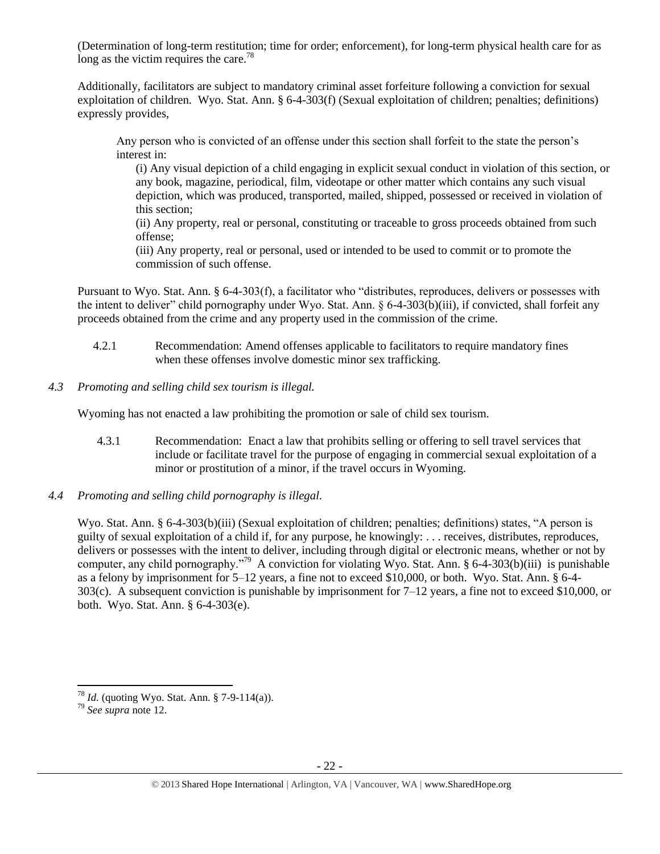(Determination of long-term restitution; time for order; enforcement), for long-term physical health care for as long as the victim requires the care.<sup>78</sup>

Additionally, facilitators are subject to mandatory criminal asset forfeiture following a conviction for sexual exploitation of children. Wyo. Stat. Ann. § 6-4-303(f) (Sexual exploitation of children; penalties; definitions) expressly provides,

Any person who is convicted of an offense under this section shall forfeit to the state the person's interest in:

(i) Any visual depiction of a child engaging in explicit sexual conduct in violation of this section, or any book, magazine, periodical, film, videotape or other matter which contains any such visual depiction, which was produced, transported, mailed, shipped, possessed or received in violation of this section;

(ii) Any property, real or personal, constituting or traceable to gross proceeds obtained from such offense;

(iii) Any property, real or personal, used or intended to be used to commit or to promote the commission of such offense.

Pursuant to Wyo. Stat. Ann. § 6-4-303(f), a facilitator who "distributes, reproduces, delivers or possesses with the intent to deliver" child pornography under Wyo. Stat. Ann. § 6-4-303(b)(iii), if convicted, shall forfeit any proceeds obtained from the crime and any property used in the commission of the crime.

- 4.2.1 Recommendation: Amend offenses applicable to facilitators to require mandatory fines when these offenses involve domestic minor sex trafficking.
- *4.3 Promoting and selling child sex tourism is illegal.*

Wyoming has not enacted a law prohibiting the promotion or sale of child sex tourism.

- 4.3.1 Recommendation: Enact a law that prohibits selling or offering to sell travel services that include or facilitate travel for the purpose of engaging in commercial sexual exploitation of a minor or prostitution of a minor, if the travel occurs in Wyoming.
- *4.4 Promoting and selling child pornography is illegal.*

Wyo. Stat. Ann. § 6-4-303(b)(iii) (Sexual exploitation of children; penalties; definitions) states, "A person is guilty of sexual exploitation of a child if, for any purpose, he knowingly: . . . receives, distributes, reproduces, delivers or possesses with the intent to deliver, including through digital or electronic means, whether or not by computer, any child pornography."<sup>79</sup> A conviction for violating Wyo. Stat. Ann. § 6-4-303(b)(iii) is punishable as a felony by imprisonment for 5–12 years, a fine not to exceed \$10,000, or both. Wyo. Stat. Ann. § 6-4- 303(c). A subsequent conviction is punishable by imprisonment for 7–12 years, a fine not to exceed \$10,000, or both. Wyo. Stat. Ann. § 6-4-303(e).

<sup>&</sup>lt;sup>78</sup> *Id.* (quoting Wyo. Stat. Ann. § 7-9-114(a)).

<sup>79</sup> *See supra* note [12.](#page-2-1)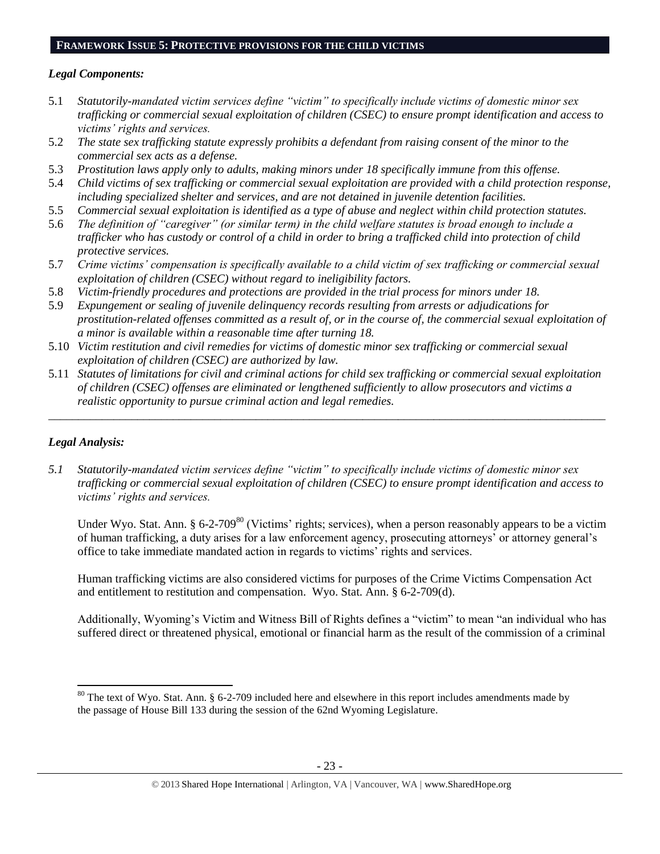# **FRAMEWORK ISSUE 5: PROTECTIVE PROVISIONS FOR THE CHILD VICTIMS**

# *Legal Components:*

- 5.1 *Statutorily-mandated victim services define "victim" to specifically include victims of domestic minor sex trafficking or commercial sexual exploitation of children (CSEC) to ensure prompt identification and access to victims' rights and services.*
- 5.2 *The state sex trafficking statute expressly prohibits a defendant from raising consent of the minor to the commercial sex acts as a defense.*
- 5.3 *Prostitution laws apply only to adults, making minors under 18 specifically immune from this offense.*
- 5.4 *Child victims of sex trafficking or commercial sexual exploitation are provided with a child protection response, including specialized shelter and services, and are not detained in juvenile detention facilities.*
- 5.5 *Commercial sexual exploitation is identified as a type of abuse and neglect within child protection statutes.*
- 5.6 *The definition of "caregiver" (or similar term) in the child welfare statutes is broad enough to include a trafficker who has custody or control of a child in order to bring a trafficked child into protection of child protective services.*
- 5.7 *Crime victims' compensation is specifically available to a child victim of sex trafficking or commercial sexual exploitation of children (CSEC) without regard to ineligibility factors.*
- 5.8 *Victim-friendly procedures and protections are provided in the trial process for minors under 18.*
- 5.9 *Expungement or sealing of juvenile delinquency records resulting from arrests or adjudications for prostitution-related offenses committed as a result of, or in the course of, the commercial sexual exploitation of a minor is available within a reasonable time after turning 18.*
- 5.10 *Victim restitution and civil remedies for victims of domestic minor sex trafficking or commercial sexual exploitation of children (CSEC) are authorized by law.*
- 5.11 *Statutes of limitations for civil and criminal actions for child sex trafficking or commercial sexual exploitation of children (CSEC) offenses are eliminated or lengthened sufficiently to allow prosecutors and victims a realistic opportunity to pursue criminal action and legal remedies.*

*\_\_\_\_\_\_\_\_\_\_\_\_\_\_\_\_\_\_\_\_\_\_\_\_\_\_\_\_\_\_\_\_\_\_\_\_\_\_\_\_\_\_\_\_\_\_\_\_\_\_\_\_\_\_\_\_\_\_\_\_\_\_\_\_\_\_\_\_\_\_\_\_\_\_\_\_\_\_\_\_\_\_\_\_\_\_\_\_\_\_\_\_\_\_*

# *Legal Analysis:*

 $\overline{\phantom{a}}$ 

*5.1 Statutorily-mandated victim services define "victim" to specifically include victims of domestic minor sex trafficking or commercial sexual exploitation of children (CSEC) to ensure prompt identification and access to victims' rights and services.* 

Under Wyo. Stat. Ann. § 6-2-709<sup>80</sup> (Victims' rights; services), when a person reasonably appears to be a victim of human trafficking, a duty arises for a law enforcement agency, prosecuting attorneys' or attorney general's office to take immediate mandated action in regards to victims' rights and services.

Human trafficking victims are also considered victims for purposes of the Crime Victims Compensation Act and entitlement to restitution and compensation. Wyo. Stat. Ann. § 6-2-709(d).

Additionally, Wyoming's Victim and Witness Bill of Rights defines a "victim" to mean "an individual who has suffered direct or threatened physical, emotional or financial harm as the result of the commission of a criminal

<sup>&</sup>lt;sup>80</sup> The text of Wyo. Stat. Ann. § 6-2-709 included here and elsewhere in this report includes amendments made by the passage of House Bill 133 during the session of the 62nd Wyoming Legislature.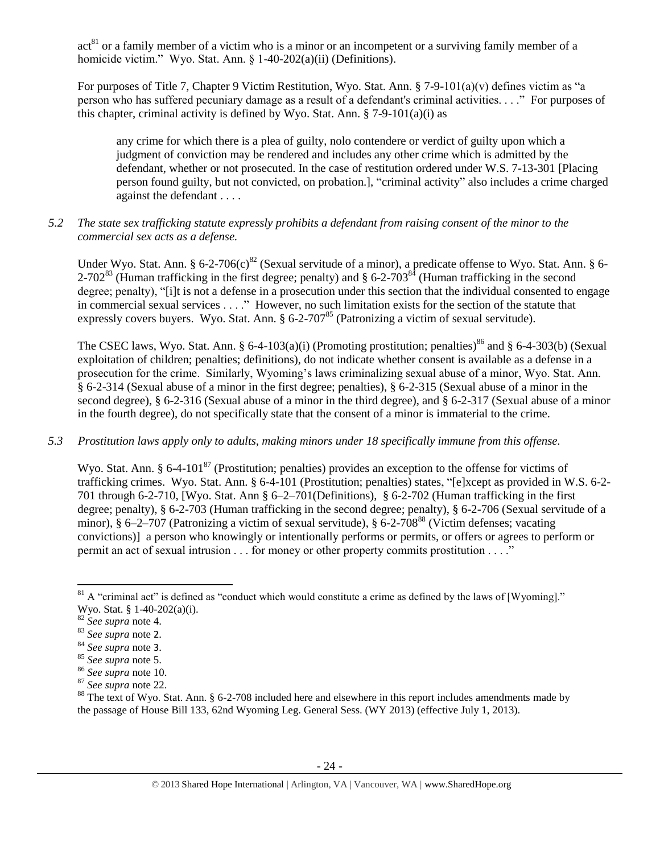act<sup>81</sup> or a family member of a victim who is a minor or an incompetent or a surviving family member of a homicide victim." Wyo. Stat. Ann. § 1-40-202(a)(ii) (Definitions).

For purposes of Title 7, Chapter 9 Victim Restitution, Wyo. Stat. Ann. § 7-9-101(a)(v) defines victim as "a person who has suffered pecuniary damage as a result of a defendant's criminal activities. . . ." For purposes of this chapter, criminal activity is defined by Wyo. Stat. Ann.  $\S$  7-9-101(a)(i) as

any crime for which there is a plea of guilty, nolo contendere or verdict of guilty upon which a judgment of conviction may be rendered and includes any other crime which is admitted by the defendant, whether or not prosecuted. In the case of restitution ordered under W.S. 7-13-301 [Placing person found guilty, but not convicted, on probation.], "criminal activity" also includes a crime charged against the defendant . . . .

*5.2 The state sex trafficking statute expressly prohibits a defendant from raising consent of the minor to the commercial sex acts as a defense.*

Under Wyo. Stat. Ann. § 6-2-706(c)<sup>82</sup> (Sexual servitude of a minor), a predicate offense to Wyo. Stat. Ann. § 6-2-702<sup>83</sup> (Human trafficking in the first degree; penalty) and § 6-2-703<sup>84</sup> (Human trafficking in the second degree; penalty), "[i]t is not a defense in a prosecution under this section that the individual consented to engage in commercial sexual services . . . ." However, no such limitation exists for the section of the statute that expressly covers buyers. Wyo. Stat. Ann.  $\S 6$ -2-707<sup>85</sup> (Patronizing a victim of sexual servitude).

The CSEC laws, Wyo. Stat. Ann. § 6-4-103(a)(i) (Promoting prostitution; penalties)<sup>86</sup> and § 6-4-303(b) (Sexual exploitation of children; penalties; definitions), do not indicate whether consent is available as a defense in a prosecution for the crime. Similarly, Wyoming's laws criminalizing sexual abuse of a minor, Wyo. Stat. Ann. § 6-2-314 (Sexual abuse of a minor in the first degree; penalties), § 6-2-315 (Sexual abuse of a minor in the second degree), § 6-2-316 (Sexual abuse of a minor in the third degree), and § 6-2-317 (Sexual abuse of a minor in the fourth degree), do not specifically state that the consent of a minor is immaterial to the crime.

*5.3 Prostitution laws apply only to adults, making minors under 18 specifically immune from this offense.*

Wyo. Stat. Ann. § 6-4-101<sup>87</sup> (Prostitution; penalties) provides an exception to the offense for victims of trafficking crimes. Wyo. Stat. Ann. § 6-4-101 (Prostitution; penalties) states, "[e]xcept as provided in W.S. 6-2- 701 through 6-2-710, [Wyo. Stat. Ann § 6–2–701(Definitions), § 6-2-702 (Human trafficking in the first degree; penalty), § 6-2-703 (Human trafficking in the second degree; penalty), § 6-2-706 (Sexual servitude of a minor),  $\S 6-2-707$  (Patronizing a victim of sexual servitude),  $\S 6-2-708^{88}$  (Victim defenses; vacating convictions)] a person who knowingly or intentionally performs or permits, or offers or agrees to perform or permit an act of sexual intrusion . . . for money or other property commits prostitution . . . ."

 $\overline{\phantom{a}}$  $81$  A "criminal act" is defined as "conduct which would constitute a crime as defined by the laws of [Wyoming]." Wyo. Stat. § 1-40-202(a)(i).

<sup>82</sup> *See supra* note [4.](#page-1-1)

<sup>83</sup> *See supra* note [2](#page-0-0).

<sup>84</sup> *See supra* note [3](#page-1-5).

<sup>85</sup> *See supra* note [5.](#page-1-2)

<sup>86</sup> *See supra* note [10.](#page-1-0)

<sup>87</sup> *See supra* note [22.](#page-5-1)

<sup>88</sup> The text of Wyo. Stat. Ann. § 6-2-708 included here and elsewhere in this report includes amendments made by the passage of House Bill 133, 62nd Wyoming Leg. General Sess. (WY 2013) (effective July 1, 2013).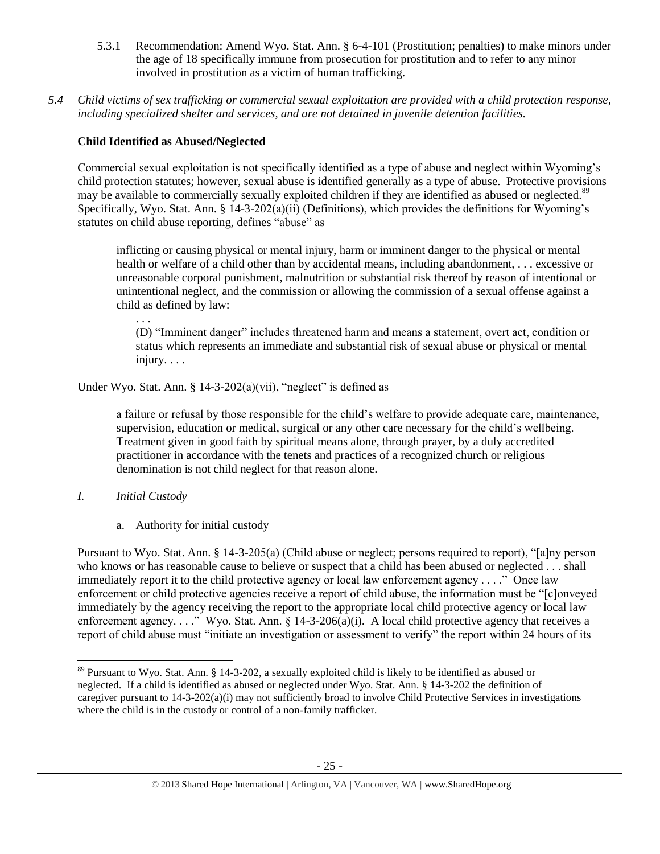- 5.3.1 Recommendation: Amend Wyo. Stat. Ann. § 6-4-101 (Prostitution; penalties) to make minors under the age of 18 specifically immune from prosecution for prostitution and to refer to any minor involved in prostitution as a victim of human trafficking.
- *5.4 Child victims of sex trafficking or commercial sexual exploitation are provided with a child protection response, including specialized shelter and services, and are not detained in juvenile detention facilities.*

# **Child Identified as Abused/Neglected**

Commercial sexual exploitation is not specifically identified as a type of abuse and neglect within Wyoming's child protection statutes; however, sexual abuse is identified generally as a type of abuse. Protective provisions may be available to commercially sexually exploited children if they are identified as abused or neglected.<sup>89</sup> Specifically, Wyo. Stat. Ann. § 14-3-202(a)(ii) (Definitions), which provides the definitions for Wyoming's statutes on child abuse reporting, defines "abuse" as

inflicting or causing physical or mental injury, harm or imminent danger to the physical or mental health or welfare of a child other than by accidental means, including abandonment, . . . excessive or unreasonable corporal punishment, malnutrition or substantial risk thereof by reason of intentional or unintentional neglect, and the commission or allowing the commission of a sexual offense against a child as defined by law:

(D) "Imminent danger" includes threatened harm and means a statement, overt act, condition or status which represents an immediate and substantial risk of sexual abuse or physical or mental injury. . . .

Under Wyo. Stat. Ann. §  $14-3-202(a)(vii)$ , "neglect" is defined as

a failure or refusal by those responsible for the child's welfare to provide adequate care, maintenance, supervision, education or medical, surgical or any other care necessary for the child's wellbeing. Treatment given in good faith by spiritual means alone, through prayer, by a duly accredited practitioner in accordance with the tenets and practices of a recognized church or religious denomination is not child neglect for that reason alone.

# *I. Initial Custody*

. . .

# a. Authority for initial custody

Pursuant to Wyo. Stat. Ann. § 14-3-205(a) (Child abuse or neglect; persons required to report), "[a]ny person who knows or has reasonable cause to believe or suspect that a child has been abused or neglected . . . shall immediately report it to the child protective agency or local law enforcement agency . . . ." Once law enforcement or child protective agencies receive a report of child abuse, the information must be "[c]onveyed immediately by the agency receiving the report to the appropriate local child protective agency or local law enforcement agency. . . ." Wyo. Stat. Ann. § 14-3-206(a)(i). A local child protective agency that receives a report of child abuse must "initiate an investigation or assessment to verify" the report within 24 hours of its

l <sup>89</sup> Pursuant to Wyo. Stat. Ann. § 14-3-202, a sexually exploited child is likely to be identified as abused or neglected. If a child is identified as abused or neglected under Wyo. Stat. Ann. § 14-3-202 the definition of caregiver pursuant to 14-3-202(a)(i) may not sufficiently broad to involve Child Protective Services in investigations where the child is in the custody or control of a non-family trafficker.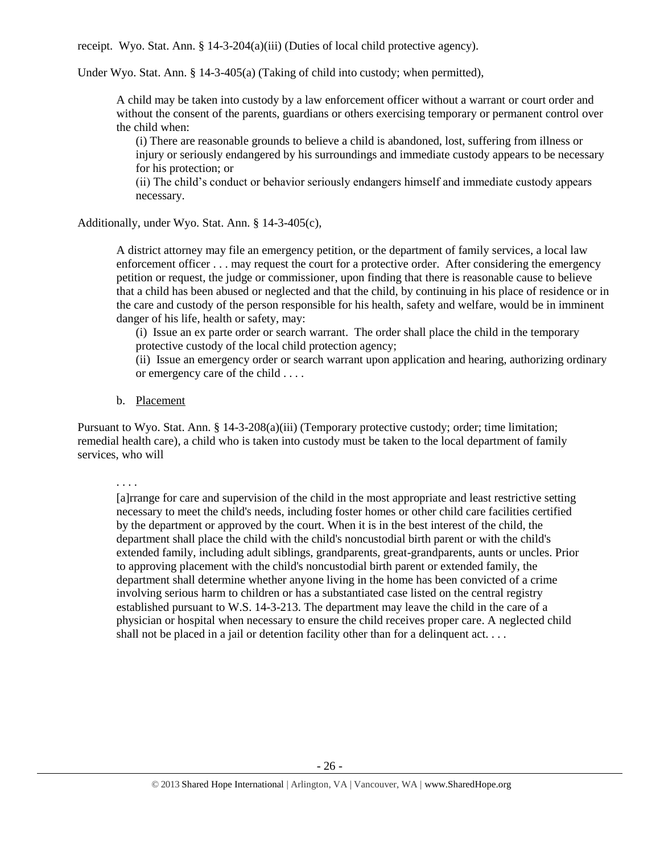receipt. Wyo. Stat. Ann. § 14-3-204(a)(iii) (Duties of local child protective agency).

Under Wyo. Stat. Ann. § 14-3-405(a) (Taking of child into custody; when permitted),

A child may be taken into custody by a law enforcement officer without a warrant or court order and without the consent of the parents, guardians or others exercising temporary or permanent control over the child when:

(i) There are reasonable grounds to believe a child is abandoned, lost, suffering from illness or injury or seriously endangered by his surroundings and immediate custody appears to be necessary for his protection; or

(ii) The child's conduct or behavior seriously endangers himself and immediate custody appears necessary.

Additionally, under Wyo. Stat. Ann. § 14-3-405(c),

A district attorney may file an emergency petition, or the department of family services, a local law enforcement officer . . . may request the court for a protective order. After considering the emergency petition or request, the judge or commissioner, upon finding that there is reasonable cause to believe that a child has been abused or neglected and that the child, by continuing in his place of residence or in the care and custody of the person responsible for his health, safety and welfare, would be in imminent danger of his life, health or safety, may:

(i) Issue an ex parte order or search warrant. The order shall place the child in the temporary protective custody of the local child protection agency;

(ii) Issue an emergency order or search warrant upon application and hearing, authorizing ordinary or emergency care of the child . . . .

b. Placement

Pursuant to Wyo. Stat. Ann. § 14-3-208(a)(iii) (Temporary protective custody; order; time limitation; remedial health care), a child who is taken into custody must be taken to the local department of family services, who will

. . . .

[a]rrange for care and supervision of the child in the most appropriate and least restrictive setting necessary to meet the child's needs, including foster homes or other child care facilities certified by the department or approved by the court. When it is in the best interest of the child, the department shall place the child with the child's noncustodial birth parent or with the child's extended family, including adult siblings, grandparents, great-grandparents, aunts or uncles. Prior to approving placement with the child's noncustodial birth parent or extended family, the department shall determine whether anyone living in the home has been convicted of a crime involving serious harm to children or has a substantiated case listed on the central registry established pursuant to W.S. 14-3-213. The department may leave the child in the care of a physician or hospital when necessary to ensure the child receives proper care. A neglected child shall not be placed in a jail or detention facility other than for a delinquent act. . . .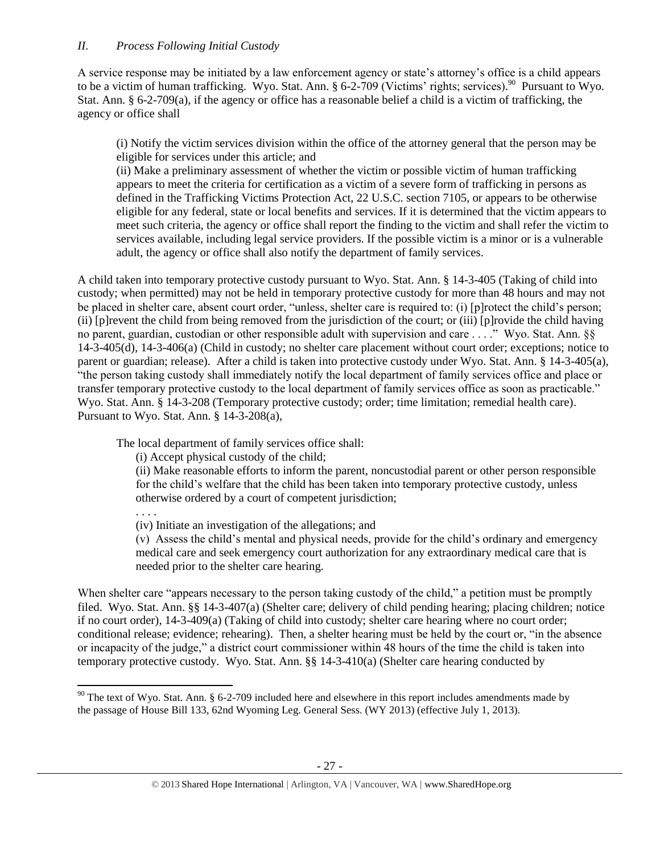A service response may be initiated by a law enforcement agency or state's attorney's office is a child appears to be a victim of human trafficking. Wyo. Stat. Ann.  $\S 6-2-709$  (Victims' rights; services).<sup>90</sup> Pursuant to Wyo. Stat. Ann. § 6-2-709(a), if the agency or office has a reasonable belief a child is a victim of trafficking, the agency or office shall

(i) Notify the victim services division within the office of the attorney general that the person may be eligible for services under this article; and

(ii) Make a preliminary assessment of whether the victim or possible victim of human trafficking appears to meet the criteria for certification as a victim of a severe form of trafficking in persons as defined in the Trafficking Victims Protection Act, 22 U.S.C. section 7105, or appears to be otherwise eligible for any federal, state or local benefits and services. If it is determined that the victim appears to meet such criteria, the agency or office shall report the finding to the victim and shall refer the victim to services available, including legal service providers. If the possible victim is a minor or is a vulnerable adult, the agency or office shall also notify the department of family services.

A child taken into temporary protective custody pursuant to Wyo. Stat. Ann. § 14-3-405 (Taking of child into custody; when permitted) may not be held in temporary protective custody for more than 48 hours and may not be placed in shelter care, absent court order, "unless, shelter care is required to: (i) [p]rotect the child's person; (ii) [p]revent the child from being removed from the jurisdiction of the court; or (iii) [p]rovide the child having no parent, guardian, custodian or other responsible adult with supervision and care . . . ." Wyo. Stat. Ann. §§ 14-3-405(d), 14-3-406(a) (Child in custody; no shelter care placement without court order; exceptions; notice to parent or guardian; release). After a child is taken into protective custody under Wyo. Stat. Ann. § 14-3-405(a), "the person taking custody shall immediately notify the local department of family services office and place or transfer temporary protective custody to the local department of family services office as soon as practicable." Wyo. Stat. Ann. § 14-3-208 (Temporary protective custody; order; time limitation; remedial health care). Pursuant to Wyo. Stat. Ann. § 14-3-208(a),

The local department of family services office shall:

(i) Accept physical custody of the child;

(ii) Make reasonable efforts to inform the parent, noncustodial parent or other person responsible for the child's welfare that the child has been taken into temporary protective custody, unless otherwise ordered by a court of competent jurisdiction;

. . . .

 $\overline{\phantom{a}}$ 

(iv) Initiate an investigation of the allegations; and (v) Assess the child's mental and physical needs, provide for the child's ordinary and emergency medical care and seek emergency court authorization for any extraordinary medical care that is

needed prior to the shelter care hearing.

When shelter care "appears necessary to the person taking custody of the child," a petition must be promptly filed. Wyo. Stat. Ann. §§ 14-3-407(a) (Shelter care; delivery of child pending hearing; placing children; notice if no court order), 14-3-409(a) (Taking of child into custody; shelter care hearing where no court order; conditional release; evidence; rehearing). Then, a shelter hearing must be held by the court or, "in the absence or incapacity of the judge," a district court commissioner within 48 hours of the time the child is taken into temporary protective custody. Wyo. Stat. Ann. §§ 14-3-410(a) (Shelter care hearing conducted by

 $90$  The text of Wyo. Stat. Ann. § 6-2-709 included here and elsewhere in this report includes amendments made by the passage of House Bill 133, 62nd Wyoming Leg. General Sess. (WY 2013) (effective July 1, 2013).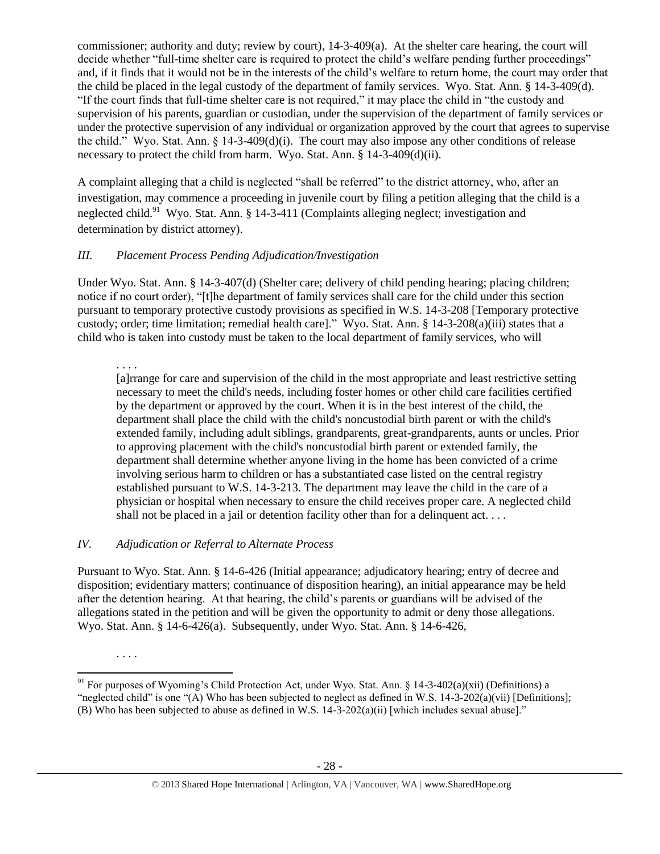commissioner; authority and duty; review by court), 14-3-409(a). At the shelter care hearing, the court will decide whether "full-time shelter care is required to protect the child's welfare pending further proceedings" and, if it finds that it would not be in the interests of the child's welfare to return home, the court may order that the child be placed in the legal custody of the department of family services. Wyo. Stat. Ann. § 14-3-409(d). "If the court finds that full-time shelter care is not required," it may place the child in "the custody and supervision of his parents, guardian or custodian, under the supervision of the department of family services or under the protective supervision of any individual or organization approved by the court that agrees to supervise the child." Wyo. Stat. Ann. § 14-3-409(d)(i). The court may also impose any other conditions of release necessary to protect the child from harm. Wyo. Stat. Ann. § 14-3-409(d)(ii).

A complaint alleging that a child is neglected "shall be referred" to the district attorney, who, after an investigation, may commence a proceeding in juvenile court by filing a petition alleging that the child is a neglected child.<sup>91</sup> Wyo. Stat. Ann. § 14-3-411 (Complaints alleging neglect; investigation and determination by district attorney).

# *III. Placement Process Pending Adjudication/Investigation*

Under Wyo. Stat. Ann. § 14-3-407(d) (Shelter care; delivery of child pending hearing; placing children; notice if no court order), "[t]he department of family services shall care for the child under this section pursuant to temporary protective custody provisions as specified in W.S. 14-3-208 [Temporary protective custody; order; time limitation; remedial health care]." Wyo. Stat. Ann. § 14-3-208(a)(iii) states that a child who is taken into custody must be taken to the local department of family services, who will

. . . .

[a]rrange for care and supervision of the child in the most appropriate and least restrictive setting necessary to meet the child's needs, including foster homes or other child care facilities certified by the department or approved by the court. When it is in the best interest of the child, the department shall place the child with the child's noncustodial birth parent or with the child's extended family, including adult siblings, grandparents, great-grandparents, aunts or uncles. Prior to approving placement with the child's noncustodial birth parent or extended family, the department shall determine whether anyone living in the home has been convicted of a crime involving serious harm to children or has a substantiated case listed on the central registry established pursuant to W.S. 14-3-213. The department may leave the child in the care of a physician or hospital when necessary to ensure the child receives proper care. A neglected child shall not be placed in a jail or detention facility other than for a delinquent act. . . .

# *IV. Adjudication or Referral to Alternate Process*

Pursuant to Wyo. Stat. Ann. § 14-6-426 (Initial appearance; adjudicatory hearing; entry of decree and disposition; evidentiary matters; continuance of disposition hearing), an initial appearance may be held after the detention hearing. At that hearing, the child's parents or guardians will be advised of the allegations stated in the petition and will be given the opportunity to admit or deny those allegations. Wyo. Stat. Ann. § 14-6-426(a). Subsequently, under Wyo. Stat. Ann. § 14-6-426,

<sup>. . . .</sup>

 $\overline{a}$ <sup>91</sup> For purposes of Wyoming's Child Protection Act, under Wyo. Stat. Ann. § 14-3-402(a)(xii) (Definitions) a "neglected child" is one "(A) Who has been subjected to neglect as defined in W.S. 14-3-202(a)(vii) [Definitions]; (B) Who has been subjected to abuse as defined in W.S.  $14-3-202(a)(ii)$  [which includes sexual abuse]."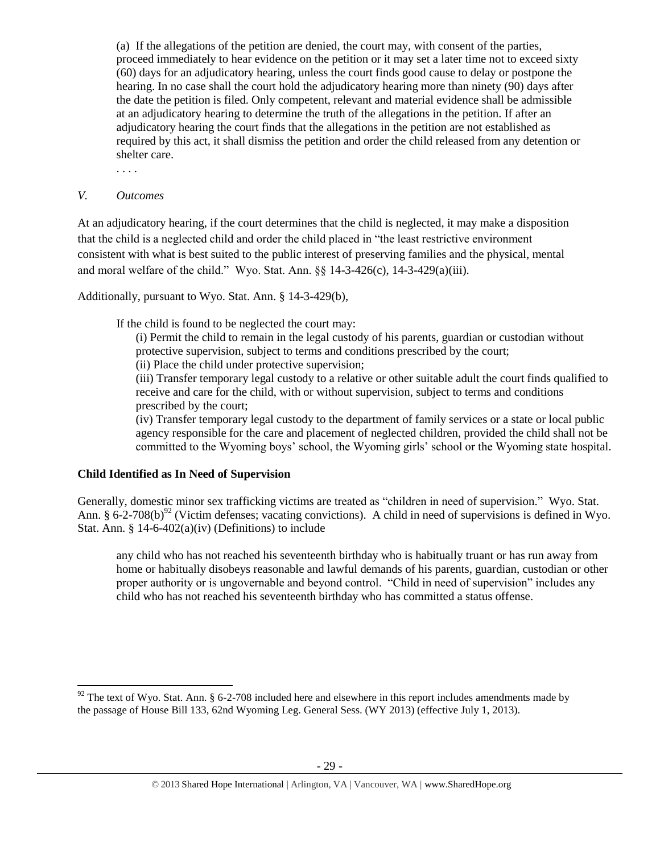(a) If the allegations of the petition are denied, the court may, with consent of the parties, proceed immediately to hear evidence on the petition or it may set a later time not to exceed sixty (60) days for an adjudicatory hearing, unless the court finds good cause to delay or postpone the hearing. In no case shall the court hold the adjudicatory hearing more than ninety (90) days after the date the petition is filed. Only competent, relevant and material evidence shall be admissible at an adjudicatory hearing to determine the truth of the allegations in the petition. If after an adjudicatory hearing the court finds that the allegations in the petition are not established as required by this act, it shall dismiss the petition and order the child released from any detention or shelter care.

. . . .

# *V. Outcomes*

 $\overline{\phantom{a}}$ 

At an adjudicatory hearing, if the court determines that the child is neglected, it may make a disposition that the child is a neglected child and order the child placed in "the least restrictive environment consistent with what is best suited to the public interest of preserving families and the physical, mental and moral welfare of the child." Wyo. Stat. Ann. §§ 14-3-426(c), 14-3-429(a)(iii).

Additionally, pursuant to Wyo. Stat. Ann. § 14-3-429(b),

If the child is found to be neglected the court may:

(i) Permit the child to remain in the legal custody of his parents, guardian or custodian without protective supervision, subject to terms and conditions prescribed by the court;

(ii) Place the child under protective supervision;

(iii) Transfer temporary legal custody to a relative or other suitable adult the court finds qualified to receive and care for the child, with or without supervision, subject to terms and conditions prescribed by the court;

(iv) Transfer temporary legal custody to the department of family services or a state or local public agency responsible for the care and placement of neglected children, provided the child shall not be committed to the Wyoming boys' school, the Wyoming girls' school or the Wyoming state hospital.

# **Child Identified as In Need of Supervision**

Generally, domestic minor sex trafficking victims are treated as "children in need of supervision." Wyo. Stat. Ann. § 6-2-708(b)<sup>92</sup> (Victim defenses; vacating convictions). A child in need of supervisions is defined in Wyo. Stat. Ann.  $§$  14-6-402(a)(iv) (Definitions) to include

any child who has not reached his seventeenth birthday who is habitually truant or has run away from home or habitually disobeys reasonable and lawful demands of his parents, guardian, custodian or other proper authority or is ungovernable and beyond control. "Child in need of supervision" includes any child who has not reached his seventeenth birthday who has committed a status offense.

 $92$  The text of Wyo. Stat. Ann. § 6-2-708 included here and elsewhere in this report includes amendments made by the passage of House Bill 133, 62nd Wyoming Leg. General Sess. (WY 2013) (effective July 1, 2013).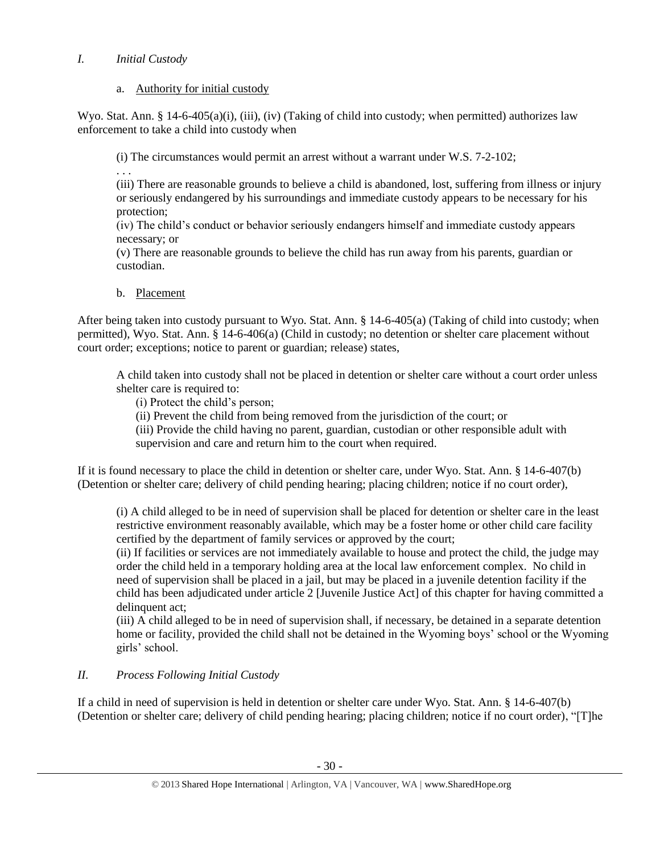# *I. Initial Custody*

# a. Authority for initial custody

Wyo. Stat. Ann. § 14-6-405(a)(i), (iii), (iv) (Taking of child into custody; when permitted) authorizes law enforcement to take a child into custody when

(i) The circumstances would permit an arrest without a warrant under W.S. 7-2-102;

. . .

(iii) There are reasonable grounds to believe a child is abandoned, lost, suffering from illness or injury or seriously endangered by his surroundings and immediate custody appears to be necessary for his protection;

(iv) The child's conduct or behavior seriously endangers himself and immediate custody appears necessary; or

(v) There are reasonable grounds to believe the child has run away from his parents, guardian or custodian.

b. Placement

After being taken into custody pursuant to Wyo. Stat. Ann. § 14-6-405(a) (Taking of child into custody; when permitted), Wyo. Stat. Ann. § 14-6-406(a) (Child in custody; no detention or shelter care placement without court order; exceptions; notice to parent or guardian; release) states,

A child taken into custody shall not be placed in detention or shelter care without a court order unless shelter care is required to:

(i) Protect the child's person;

(ii) Prevent the child from being removed from the jurisdiction of the court; or

(iii) Provide the child having no parent, guardian, custodian or other responsible adult with supervision and care and return him to the court when required.

If it is found necessary to place the child in detention or shelter care, under Wyo. Stat. Ann. § 14-6-407(b) (Detention or shelter care; delivery of child pending hearing; placing children; notice if no court order),

(i) A child alleged to be in need of supervision shall be placed for detention or shelter care in the least restrictive environment reasonably available, which may be a foster home or other child care facility certified by the department of family services or approved by the court;

(ii) If facilities or services are not immediately available to house and protect the child, the judge may order the child held in a temporary holding area at the local law enforcement complex. No child in need of supervision shall be placed in a jail, but may be placed in a juvenile detention facility if the child has been adjudicated under article 2 [Juvenile Justice Act] of this chapter for having committed a delinquent act:

(iii) A child alleged to be in need of supervision shall, if necessary, be detained in a separate detention home or facility, provided the child shall not be detained in the Wyoming boys' school or the Wyoming girls' school.

# *II. Process Following Initial Custody*

If a child in need of supervision is held in detention or shelter care under Wyo. Stat. Ann. § 14-6-407(b) (Detention or shelter care; delivery of child pending hearing; placing children; notice if no court order), "[T]he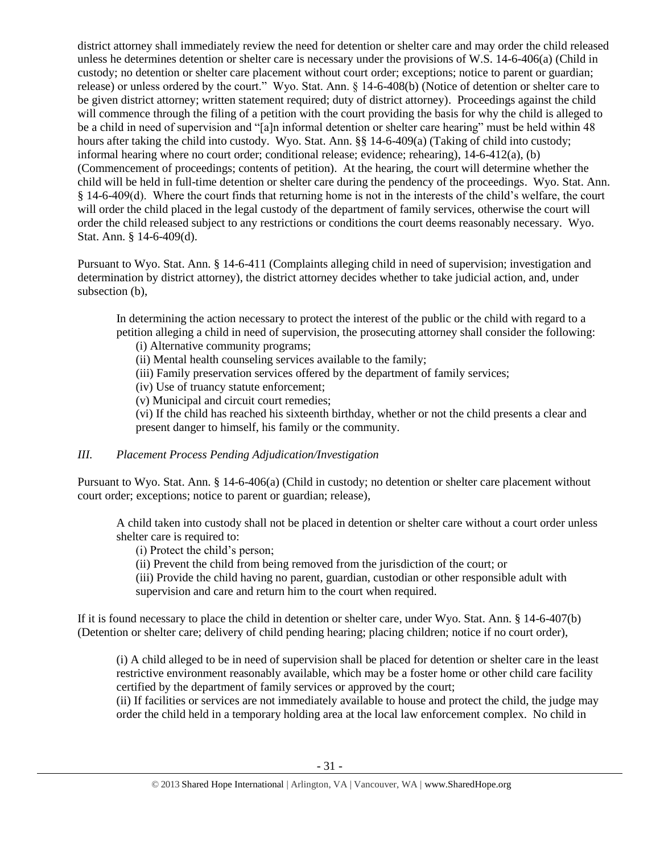district attorney shall immediately review the need for detention or shelter care and may order the child released unless he determines detention or shelter care is necessary under the provisions of W.S. 14-6-406(a) (Child in custody; no detention or shelter care placement without court order; exceptions; notice to parent or guardian; release) or unless ordered by the court." Wyo. Stat. Ann. § 14-6-408(b) (Notice of detention or shelter care to be given district attorney; written statement required; duty of district attorney). Proceedings against the child will commence through the filing of a petition with the court providing the basis for why the child is alleged to be a child in need of supervision and "[a]n informal detention or shelter care hearing" must be held within 48 hours after taking the child into custody. Wyo. Stat. Ann. §§ 14-6-409(a) (Taking of child into custody; informal hearing where no court order; conditional release; evidence; rehearing), 14-6-412(a), (b) (Commencement of proceedings; contents of petition). At the hearing, the court will determine whether the child will be held in full-time detention or shelter care during the pendency of the proceedings. Wyo. Stat. Ann. § 14-6-409(d). Where the court finds that returning home is not in the interests of the child's welfare, the court will order the child placed in the legal custody of the department of family services, otherwise the court will order the child released subject to any restrictions or conditions the court deems reasonably necessary. Wyo. Stat. Ann. § 14-6-409(d).

Pursuant to Wyo. Stat. Ann. § 14-6-411 (Complaints alleging child in need of supervision; investigation and determination by district attorney), the district attorney decides whether to take judicial action, and, under subsection (b),

In determining the action necessary to protect the interest of the public or the child with regard to a petition alleging a child in need of supervision, the prosecuting attorney shall consider the following:

- (i) Alternative community programs;
- (ii) Mental health counseling services available to the family;
- (iii) Family preservation services offered by the department of family services;
- (iv) Use of truancy statute enforcement;
- (v) Municipal and circuit court remedies;

(vi) If the child has reached his sixteenth birthday, whether or not the child presents a clear and present danger to himself, his family or the community.

# *III. Placement Process Pending Adjudication/Investigation*

Pursuant to Wyo. Stat. Ann. § 14-6-406(a) (Child in custody; no detention or shelter care placement without court order; exceptions; notice to parent or guardian; release),

A child taken into custody shall not be placed in detention or shelter care without a court order unless shelter care is required to:

- (i) Protect the child's person;
- (ii) Prevent the child from being removed from the jurisdiction of the court; or

(iii) Provide the child having no parent, guardian, custodian or other responsible adult with supervision and care and return him to the court when required.

If it is found necessary to place the child in detention or shelter care, under Wyo. Stat. Ann. § 14-6-407(b) (Detention or shelter care; delivery of child pending hearing; placing children; notice if no court order),

(i) A child alleged to be in need of supervision shall be placed for detention or shelter care in the least restrictive environment reasonably available, which may be a foster home or other child care facility certified by the department of family services or approved by the court;

(ii) If facilities or services are not immediately available to house and protect the child, the judge may order the child held in a temporary holding area at the local law enforcement complex. No child in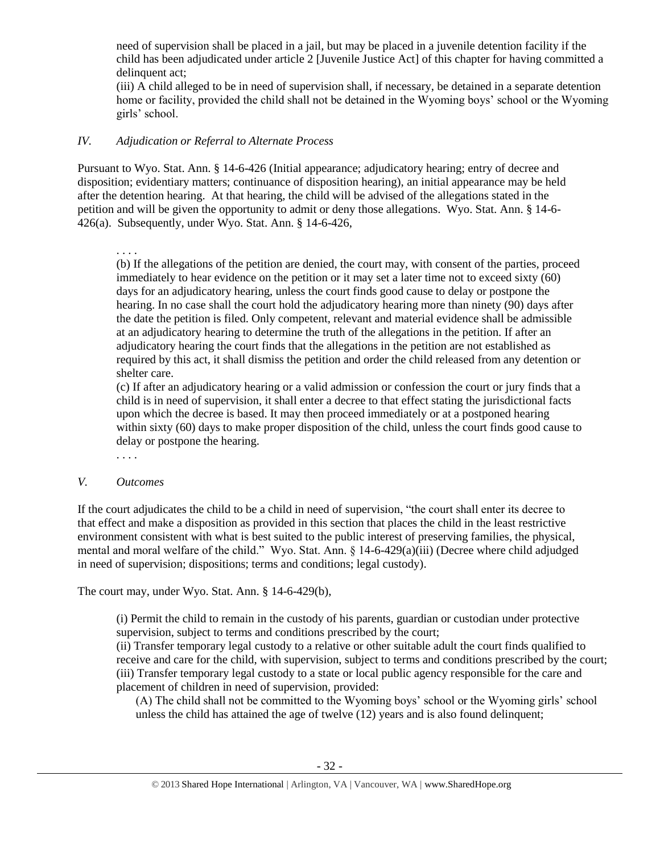need of supervision shall be placed in a jail, but may be placed in a juvenile detention facility if the child has been adjudicated under article 2 [Juvenile Justice Act] of this chapter for having committed a delinquent act:

(iii) A child alleged to be in need of supervision shall, if necessary, be detained in a separate detention home or facility, provided the child shall not be detained in the Wyoming boys' school or the Wyoming girls' school.

### *IV. Adjudication or Referral to Alternate Process*

Pursuant to Wyo. Stat. Ann. § 14-6-426 (Initial appearance; adjudicatory hearing; entry of decree and disposition; evidentiary matters; continuance of disposition hearing), an initial appearance may be held after the detention hearing. At that hearing, the child will be advised of the allegations stated in the petition and will be given the opportunity to admit or deny those allegations. Wyo. Stat. Ann. § 14-6- 426(a). Subsequently, under Wyo. Stat. Ann. § 14-6-426,

. . . .

(b) If the allegations of the petition are denied, the court may, with consent of the parties, proceed immediately to hear evidence on the petition or it may set a later time not to exceed sixty (60) days for an adjudicatory hearing, unless the court finds good cause to delay or postpone the hearing. In no case shall the court hold the adjudicatory hearing more than ninety (90) days after the date the petition is filed. Only competent, relevant and material evidence shall be admissible at an adjudicatory hearing to determine the truth of the allegations in the petition. If after an adjudicatory hearing the court finds that the allegations in the petition are not established as required by this act, it shall dismiss the petition and order the child released from any detention or shelter care.

(c) If after an adjudicatory hearing or a valid admission or confession the court or jury finds that a child is in need of supervision, it shall enter a decree to that effect stating the jurisdictional facts upon which the decree is based. It may then proceed immediately or at a postponed hearing within sixty (60) days to make proper disposition of the child, unless the court finds good cause to delay or postpone the hearing.

. . . .

### *V. Outcomes*

If the court adjudicates the child to be a child in need of supervision, "the court shall enter its decree to that effect and make a disposition as provided in this section that places the child in the least restrictive environment consistent with what is best suited to the public interest of preserving families, the physical, mental and moral welfare of the child." Wyo. Stat. Ann. § 14-6-429(a)(iii) (Decree where child adjudged in need of supervision; dispositions; terms and conditions; legal custody).

The court may, under Wyo. Stat. Ann. § 14-6-429(b),

(i) Permit the child to remain in the custody of his parents, guardian or custodian under protective supervision, subject to terms and conditions prescribed by the court;

(ii) Transfer temporary legal custody to a relative or other suitable adult the court finds qualified to receive and care for the child, with supervision, subject to terms and conditions prescribed by the court; (iii) Transfer temporary legal custody to a state or local public agency responsible for the care and placement of children in need of supervision, provided:

(A) The child shall not be committed to the Wyoming boys' school or the Wyoming girls' school unless the child has attained the age of twelve (12) years and is also found delinquent;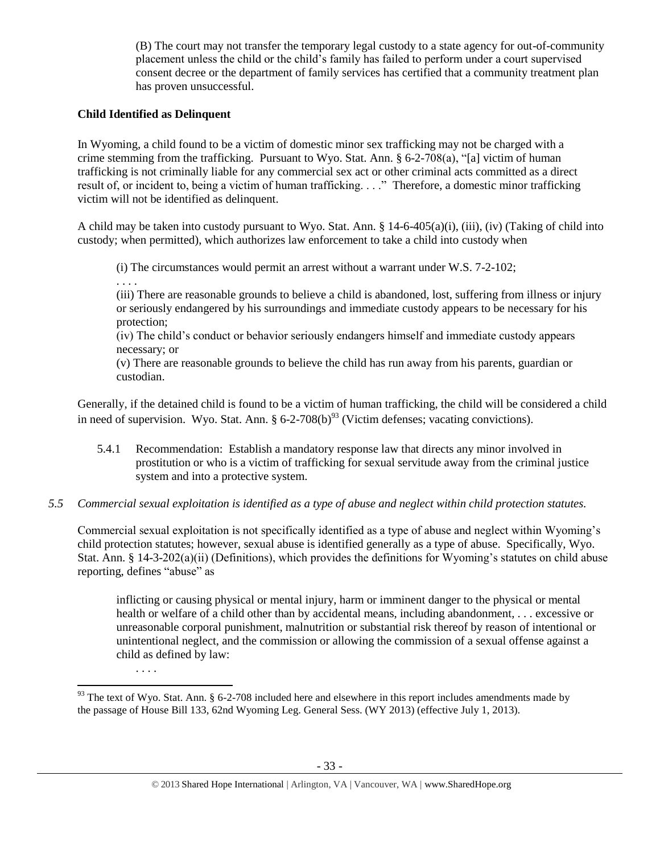(B) The court may not transfer the temporary legal custody to a state agency for out-of-community placement unless the child or the child's family has failed to perform under a court supervised consent decree or the department of family services has certified that a community treatment plan has proven unsuccessful.

# **Child Identified as Delinquent**

. . . .

. . . .

 $\overline{\phantom{a}}$ 

In Wyoming, a child found to be a victim of domestic minor sex trafficking may not be charged with a crime stemming from the trafficking. Pursuant to Wyo. Stat. Ann. § 6-2-708(a), "[a] victim of human trafficking is not criminally liable for any commercial sex act or other criminal acts committed as a direct result of, or incident to, being a victim of human trafficking. . . ." Therefore, a domestic minor trafficking victim will not be identified as delinquent.

A child may be taken into custody pursuant to Wyo. Stat. Ann. § 14-6-405(a)(i), (iii), (iv) (Taking of child into custody; when permitted), which authorizes law enforcement to take a child into custody when

(i) The circumstances would permit an arrest without a warrant under W.S. 7-2-102;

(iii) There are reasonable grounds to believe a child is abandoned, lost, suffering from illness or injury or seriously endangered by his surroundings and immediate custody appears to be necessary for his protection;

(iv) The child's conduct or behavior seriously endangers himself and immediate custody appears necessary; or

(v) There are reasonable grounds to believe the child has run away from his parents, guardian or custodian.

Generally, if the detained child is found to be a victim of human trafficking, the child will be considered a child in need of supervision. Wyo. Stat. Ann.  $\S 6$ -2-708(b)<sup>93</sup> (Victim defenses; vacating convictions).

- 5.4.1 Recommendation: Establish a mandatory response law that directs any minor involved in prostitution or who is a victim of trafficking for sexual servitude away from the criminal justice system and into a protective system.
- *5.5 Commercial sexual exploitation is identified as a type of abuse and neglect within child protection statutes.*

Commercial sexual exploitation is not specifically identified as a type of abuse and neglect within Wyoming's child protection statutes; however, sexual abuse is identified generally as a type of abuse. Specifically, Wyo. Stat. Ann. § 14-3-202(a)(ii) (Definitions), which provides the definitions for Wyoming's statutes on child abuse reporting, defines "abuse" as

inflicting or causing physical or mental injury, harm or imminent danger to the physical or mental health or welfare of a child other than by accidental means, including abandonment, . . . excessive or unreasonable corporal punishment, malnutrition or substantial risk thereof by reason of intentional or unintentional neglect, and the commission or allowing the commission of a sexual offense against a child as defined by law:

 $93$  The text of Wyo. Stat. Ann. § 6-2-708 included here and elsewhere in this report includes amendments made by the passage of House Bill 133, 62nd Wyoming Leg. General Sess. (WY 2013) (effective July 1, 2013).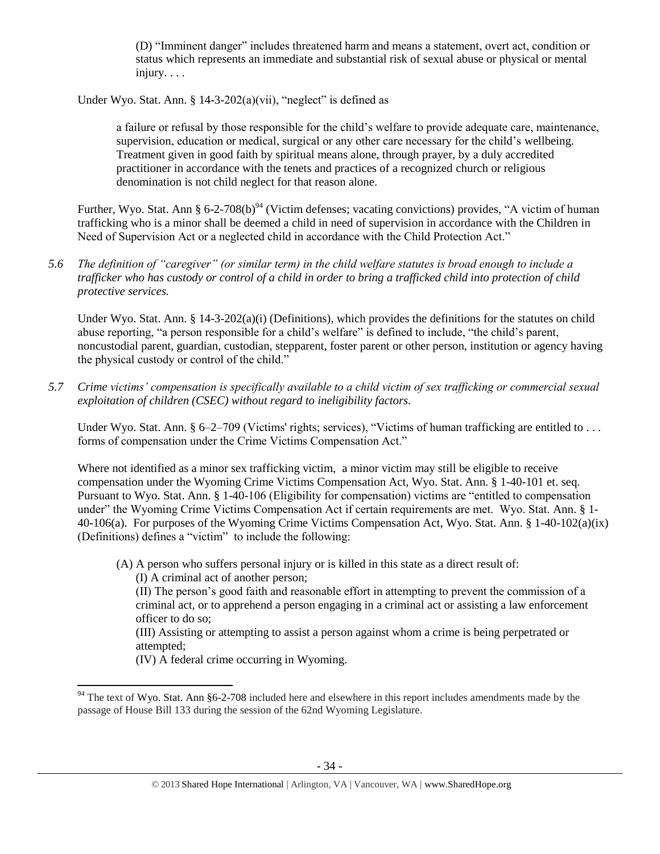(D) "Imminent danger" includes threatened harm and means a statement, overt act, condition or status which represents an immediate and substantial risk of sexual abuse or physical or mental injury. . . .

Under Wyo. Stat. Ann. § 14-3-202(a)(vii), "neglect" is defined as

a failure or refusal by those responsible for the child's welfare to provide adequate care, maintenance, supervision, education or medical, surgical or any other care necessary for the child's wellbeing. Treatment given in good faith by spiritual means alone, through prayer, by a duly accredited practitioner in accordance with the tenets and practices of a recognized church or religious denomination is not child neglect for that reason alone.

Further, Wyo. Stat. Ann § 6-2-708(b)<sup>94</sup> (Victim defenses; vacating convictions) provides, "A victim of human trafficking who is a minor shall be deemed a child in need of supervision in accordance with the Children in Need of Supervision Act or a neglected child in accordance with the Child Protection Act."

*5.6 The definition of "caregiver" (or similar term) in the child welfare statutes is broad enough to include a trafficker who has custody or control of a child in order to bring a trafficked child into protection of child protective services.*

Under Wyo. Stat. Ann. §  $14-3-202(a)(i)$  (Definitions), which provides the definitions for the statutes on child abuse reporting, "a person responsible for a child's welfare" is defined to include, "the child's parent, noncustodial parent, guardian, custodian, stepparent, foster parent or other person, institution or agency having the physical custody or control of the child."

*5.7 Crime victims' compensation is specifically available to a child victim of sex trafficking or commercial sexual exploitation of children (CSEC) without regard to ineligibility factors.*

Under Wyo. Stat. Ann. § 6–2–709 (Victims' rights; services), "Victims of human trafficking are entitled to ... forms of compensation under the Crime Victims Compensation Act."

Where not identified as a minor sex trafficking victim, a minor victim may still be eligible to receive compensation under the Wyoming Crime Victims Compensation Act, Wyo. Stat. Ann. § 1-40-101 et. seq. Pursuant to Wyo. Stat. Ann. § 1-40-106 (Eligibility for compensation) victims are "entitled to compensation under" the Wyoming Crime Victims Compensation Act if certain requirements are met. Wyo. Stat. Ann. § 1- 40-106(a). For purposes of the Wyoming Crime Victims Compensation Act, Wyo. Stat. Ann. § 1-40-102(a)(ix) (Definitions) defines a "victim" to include the following:

(A) A person who suffers personal injury or is killed in this state as a direct result of:

(I) A criminal act of another person;

 $\overline{\phantom{a}}$ 

(II) The person's good faith and reasonable effort in attempting to prevent the commission of a criminal act, or to apprehend a person engaging in a criminal act or assisting a law enforcement officer to do so;

(III) Assisting or attempting to assist a person against whom a crime is being perpetrated or attempted;

(IV) A federal crime occurring in Wyoming.

 $94$  The text of Wyo. Stat. Ann §6-2-708 included here and elsewhere in this report includes amendments made by the passage of House Bill 133 during the session of the 62nd Wyoming Legislature.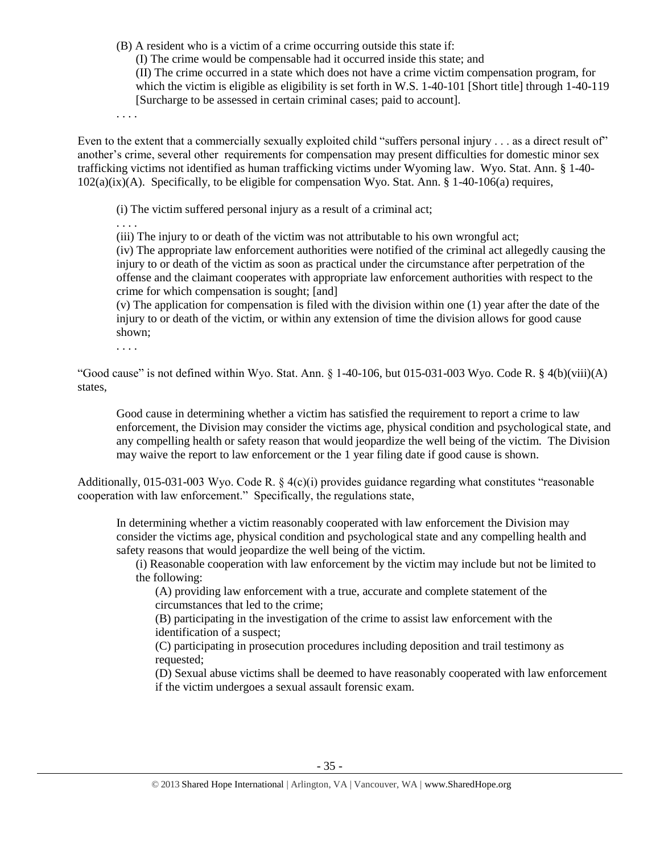(B) A resident who is a victim of a crime occurring outside this state if:

(I) The crime would be compensable had it occurred inside this state; and

(II) The crime occurred in a state which does not have a crime victim compensation program, for which the victim is eligible as eligibility is set forth in W.S. 1-40-101 [Short title] through 1-40-119 [Surcharge to be assessed in certain criminal cases; paid to account].

. . . .

Even to the extent that a commercially sexually exploited child "suffers personal injury . . . as a direct result of" another's crime, several other requirements for compensation may present difficulties for domestic minor sex trafficking victims not identified as human trafficking victims under Wyoming law. Wyo. Stat. Ann. § 1-40-  $102(a)(ix)(A)$ . Specifically, to be eligible for compensation Wyo. Stat. Ann. § 1-40-106(a) requires,

(i) The victim suffered personal injury as a result of a criminal act;

. . . .

(iii) The injury to or death of the victim was not attributable to his own wrongful act;

(iv) The appropriate law enforcement authorities were notified of the criminal act allegedly causing the injury to or death of the victim as soon as practical under the circumstance after perpetration of the offense and the claimant cooperates with appropriate law enforcement authorities with respect to the crime for which compensation is sought; [and]

(v) The application for compensation is filed with the division within one (1) year after the date of the injury to or death of the victim, or within any extension of time the division allows for good cause shown;

. . . .

"Good cause" is not defined within Wyo. Stat. Ann.  $\S$  1-40-106, but 015-031-003 Wyo. Code R.  $\S$  4(b)(viii)(A) states,

Good cause in determining whether a victim has satisfied the requirement to report a crime to law enforcement, the Division may consider the victims age, physical condition and psychological state, and any compelling health or safety reason that would jeopardize the well being of the victim. The Division may waive the report to law enforcement or the 1 year filing date if good cause is shown.

Additionally,  $015-031-003$  Wyo. Code R. §  $4(c)(i)$  provides guidance regarding what constitutes "reasonable" cooperation with law enforcement." Specifically, the regulations state,

In determining whether a victim reasonably cooperated with law enforcement the Division may consider the victims age, physical condition and psychological state and any compelling health and safety reasons that would jeopardize the well being of the victim.

(i) Reasonable cooperation with law enforcement by the victim may include but not be limited to the following:

(A) providing law enforcement with a true, accurate and complete statement of the circumstances that led to the crime;

(B) participating in the investigation of the crime to assist law enforcement with the identification of a suspect;

(C) participating in prosecution procedures including deposition and trail testimony as requested;

(D) Sexual abuse victims shall be deemed to have reasonably cooperated with law enforcement if the victim undergoes a sexual assault forensic exam.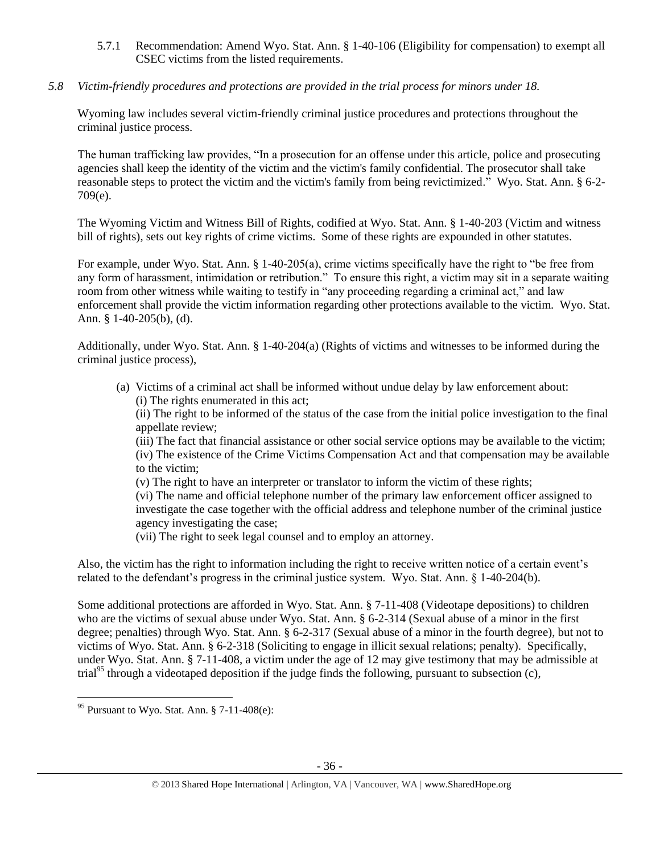5.7.1 Recommendation: Amend Wyo. Stat. Ann. § 1-40-106 (Eligibility for compensation) to exempt all CSEC victims from the listed requirements.

# *5.8 Victim-friendly procedures and protections are provided in the trial process for minors under 18.*

Wyoming law includes several victim-friendly criminal justice procedures and protections throughout the criminal justice process.

The human trafficking law provides, "In a prosecution for an offense under this article, police and prosecuting agencies shall keep the identity of the victim and the victim's family confidential. The prosecutor shall take reasonable steps to protect the victim and the victim's family from being revictimized." Wyo. Stat. Ann. § 6-2- 709(e).

The Wyoming Victim and Witness Bill of Rights, codified at Wyo. Stat. Ann. § 1-40-203 (Victim and witness bill of rights), sets out key rights of crime victims. Some of these rights are expounded in other statutes.

For example, under Wyo. Stat. Ann. § 1-40-205(a), crime victims specifically have the right to "be free from any form of harassment, intimidation or retribution." To ensure this right, a victim may sit in a separate waiting room from other witness while waiting to testify in "any proceeding regarding a criminal act," and law enforcement shall provide the victim information regarding other protections available to the victim. Wyo. Stat. Ann. § 1-40-205(b), (d).

Additionally, under Wyo. Stat. Ann. § 1-40-204(a) (Rights of victims and witnesses to be informed during the criminal justice process),

(a) Victims of a criminal act shall be informed without undue delay by law enforcement about: (i) The rights enumerated in this act;

(ii) The right to be informed of the status of the case from the initial police investigation to the final appellate review;

(iii) The fact that financial assistance or other social service options may be available to the victim; (iv) The existence of the Crime Victims Compensation Act and that compensation may be available to the victim;

(v) The right to have an interpreter or translator to inform the victim of these rights; (vi) The name and official telephone number of the primary law enforcement officer assigned to investigate the case together with the official address and telephone number of the criminal justice agency investigating the case;

(vii) The right to seek legal counsel and to employ an attorney.

Also, the victim has the right to information including the right to receive written notice of a certain event's related to the defendant's progress in the criminal justice system. Wyo. Stat. Ann. § 1-40-204(b).

Some additional protections are afforded in Wyo. Stat. Ann. § 7-11-408 (Videotape depositions) to children who are the victims of sexual abuse under Wyo. Stat. Ann. § 6-2-314 (Sexual abuse of a minor in the first degree; penalties) through Wyo. Stat. Ann. § 6-2-317 (Sexual abuse of a minor in the fourth degree), but not to victims of Wyo. Stat. Ann. § 6-2-318 (Soliciting to engage in illicit sexual relations; penalty). Specifically, under Wyo. Stat. Ann. § 7-11-408, a victim under the age of 12 may give testimony that may be admissible at trial<sup>95</sup> through a videotaped deposition if the judge finds the following, pursuant to subsection (c),

 $\overline{\phantom{a}}$  $95$  Pursuant to Wyo. Stat. Ann. § 7-11-408(e):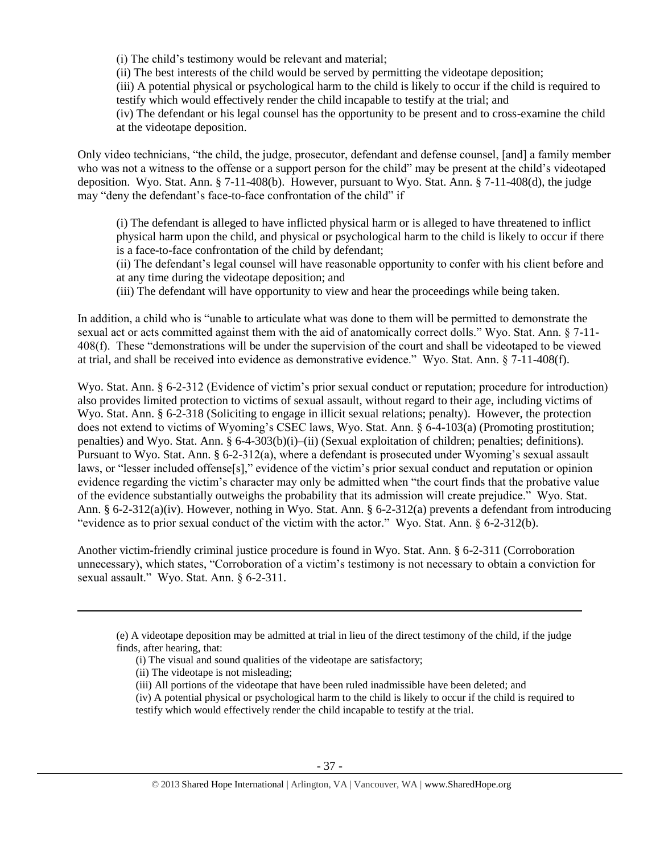(i) The child's testimony would be relevant and material;

(ii) The best interests of the child would be served by permitting the videotape deposition;

(iii) A potential physical or psychological harm to the child is likely to occur if the child is required to testify which would effectively render the child incapable to testify at the trial; and

(iv) The defendant or his legal counsel has the opportunity to be present and to cross-examine the child at the videotape deposition.

Only video technicians, "the child, the judge, prosecutor, defendant and defense counsel, [and] a family member who was not a witness to the offense or a support person for the child" may be present at the child's videotaped deposition. Wyo. Stat. Ann. § 7-11-408(b). However, pursuant to Wyo. Stat. Ann. § 7-11-408(d), the judge may "deny the defendant's face-to-face confrontation of the child" if

(i) The defendant is alleged to have inflicted physical harm or is alleged to have threatened to inflict physical harm upon the child, and physical or psychological harm to the child is likely to occur if there is a face-to-face confrontation of the child by defendant;

(ii) The defendant's legal counsel will have reasonable opportunity to confer with his client before and at any time during the videotape deposition; and

(iii) The defendant will have opportunity to view and hear the proceedings while being taken.

In addition, a child who is "unable to articulate what was done to them will be permitted to demonstrate the sexual act or acts committed against them with the aid of anatomically correct dolls." Wyo. Stat. Ann. § 7-11- 408(f). These "demonstrations will be under the supervision of the court and shall be videotaped to be viewed at trial, and shall be received into evidence as demonstrative evidence." Wyo. Stat. Ann. § 7-11-408(f).

Wyo. Stat. Ann. § 6-2-312 (Evidence of victim's prior sexual conduct or reputation; procedure for introduction) also provides limited protection to victims of sexual assault, without regard to their age, including victims of Wyo. Stat. Ann. § 6-2-318 (Soliciting to engage in illicit sexual relations; penalty). However, the protection does not extend to victims of Wyoming's CSEC laws, Wyo. Stat. Ann. § 6-4-103(a) (Promoting prostitution; penalties) and Wyo. Stat. Ann. § 6-4-303(b)(i)–(ii) (Sexual exploitation of children; penalties; definitions). Pursuant to Wyo. Stat. Ann. § 6-2-312(a), where a defendant is prosecuted under Wyoming's sexual assault laws, or "lesser included offense[s]," evidence of the victim's prior sexual conduct and reputation or opinion evidence regarding the victim's character may only be admitted when "the court finds that the probative value of the evidence substantially outweighs the probability that its admission will create prejudice." Wyo. Stat. Ann. § 6-2-312(a)(iv). However, nothing in Wyo. Stat. Ann. § 6-2-312(a) prevents a defendant from introducing "evidence as to prior sexual conduct of the victim with the actor." Wyo. Stat. Ann. § 6-2-312(b).

Another victim-friendly criminal justice procedure is found in Wyo. Stat. Ann. § 6-2-311 (Corroboration unnecessary), which states, "Corroboration of a victim's testimony is not necessary to obtain a conviction for sexual assault." Wyo. Stat. Ann. § 6-2-311.

<sup>(</sup>e) A videotape deposition may be admitted at trial in lieu of the direct testimony of the child, if the judge finds, after hearing, that:

<sup>(</sup>i) The visual and sound qualities of the videotape are satisfactory;

<sup>(</sup>ii) The videotape is not misleading;

<sup>(</sup>iii) All portions of the videotape that have been ruled inadmissible have been deleted; and

<sup>(</sup>iv) A potential physical or psychological harm to the child is likely to occur if the child is required to testify which would effectively render the child incapable to testify at the trial.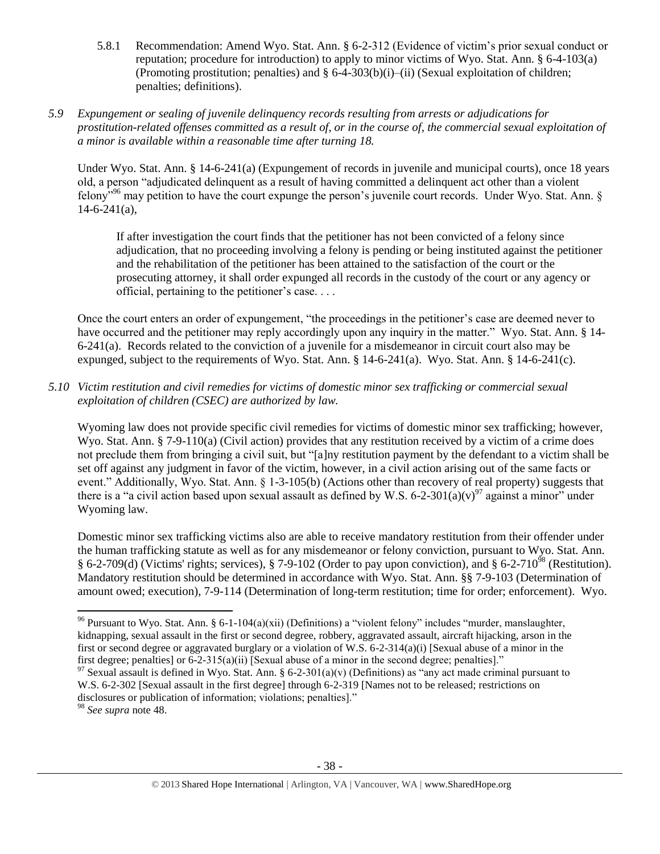5.8.1 Recommendation: Amend Wyo. Stat. Ann. § 6-2-312 (Evidence of victim's prior sexual conduct or reputation; procedure for introduction) to apply to minor victims of Wyo. Stat. Ann. § 6-4-103(a) (Promoting prostitution; penalties) and  $\S 6-4-303(b)(i)$ –(ii) (Sexual exploitation of children; penalties; definitions).

# *5.9 Expungement or sealing of juvenile delinquency records resulting from arrests or adjudications for prostitution-related offenses committed as a result of, or in the course of, the commercial sexual exploitation of a minor is available within a reasonable time after turning 18.*

Under Wyo. Stat. Ann. § 14-6-241(a) (Expungement of records in juvenile and municipal courts), once 18 years old, a person "adjudicated delinquent as a result of having committed a delinquent act other than a violent felony"<sup>96</sup> may petition to have the court expunge the person's juvenile court records. Under Wyo. Stat. Ann. §  $14-6-241(a)$ ,

If after investigation the court finds that the petitioner has not been convicted of a felony since adjudication, that no proceeding involving a felony is pending or being instituted against the petitioner and the rehabilitation of the petitioner has been attained to the satisfaction of the court or the prosecuting attorney, it shall order expunged all records in the custody of the court or any agency or official, pertaining to the petitioner's case. . . .

Once the court enters an order of expungement, "the proceedings in the petitioner's case are deemed never to have occurred and the petitioner may reply accordingly upon any inquiry in the matter." Wyo. Stat. Ann. § 14-6-241(a). Records related to the conviction of a juvenile for a misdemeanor in circuit court also may be expunged, subject to the requirements of Wyo. Stat. Ann. § 14-6-241(a). Wyo. Stat. Ann. § 14-6-241(c).

*5.10 Victim restitution and civil remedies for victims of domestic minor sex trafficking or commercial sexual exploitation of children (CSEC) are authorized by law.* 

Wyoming law does not provide specific civil remedies for victims of domestic minor sex trafficking; however, Wyo. Stat. Ann. § 7-9-110(a) (Civil action) provides that any restitution received by a victim of a crime does not preclude them from bringing a civil suit, but "[a]ny restitution payment by the defendant to a victim shall be set off against any judgment in favor of the victim, however, in a civil action arising out of the same facts or event." Additionally, Wyo. Stat. Ann. § 1-3-105(b) (Actions other than recovery of real property) suggests that there is a "a civil action based upon sexual assault as defined by W.S. 6-2-301(a)(v)<sup>97</sup> against a minor" under Wyoming law.

<span id="page-37-0"></span>Domestic minor sex trafficking victims also are able to receive mandatory restitution from their offender under the human trafficking statute as well as for any misdemeanor or felony conviction, pursuant to Wyo. Stat. Ann. § 6-2-709(d) (Victims' rights; services), § 7-9-102 (Order to pay upon conviction), and § 6-2-710<sup>98</sup> (Restitution). Mandatory restitution should be determined in accordance with Wyo. Stat. Ann. §§ 7-9-103 (Determination of amount owed; execution), 7-9-114 (Determination of long-term restitution; time for order; enforcement). Wyo.

<sup>98</sup> *See supra* note [48.](#page-11-0) 

<sup>&</sup>lt;sup>96</sup> Pursuant to Wyo. Stat. Ann. § 6-1-104(a)(xii) (Definitions) a "violent felony" includes "murder, manslaughter, kidnapping, sexual assault in the first or second degree, robbery, aggravated assault, aircraft hijacking, arson in the first or second degree or aggravated burglary or a violation of W.S. 6-2-314(a)(i) [Sexual abuse of a minor in the first degree; penalties] or 6-2-315(a)(ii) [Sexual abuse of a minor in the second degree; penalties]."

 $97$  Sexual assault is defined in Wyo. Stat. Ann. § 6-2-301(a)(v) (Definitions) as "any act made criminal pursuant to W.S. 6-2-302 [Sexual assault in the first degree] through 6-2-319 [Names not to be released; restrictions on disclosures or publication of information; violations; penalties]."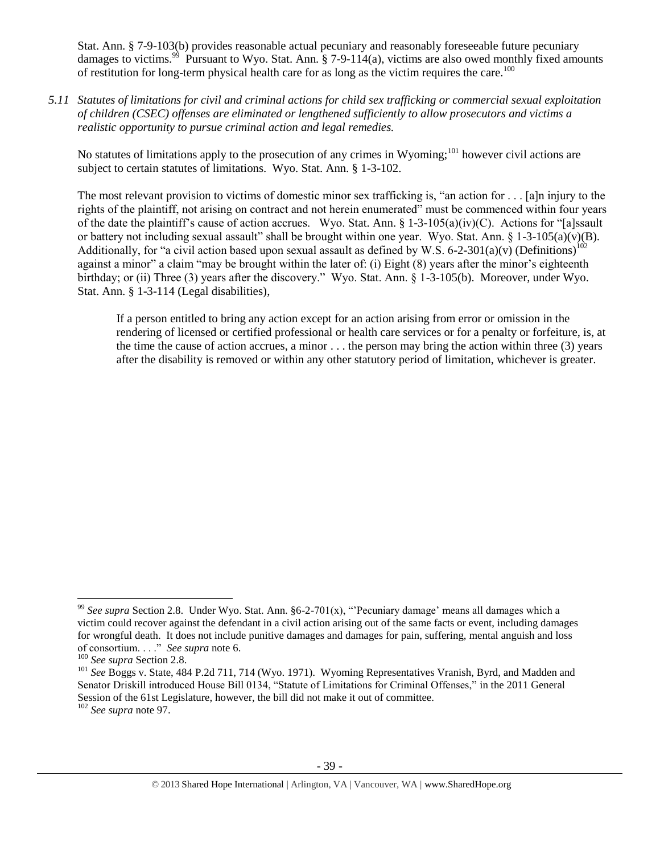Stat. Ann. § 7-9-103(b) provides reasonable actual pecuniary and reasonably foreseeable future pecuniary damages to victims.<sup>99</sup> Pursuant to Wyo. Stat. Ann. § 7-9-114(a), victims are also owed monthly fixed amounts of restitution for long-term physical health care for as long as the victim requires the care.<sup>100</sup>

*5.11 Statutes of limitations for civil and criminal actions for child sex trafficking or commercial sexual exploitation of children (CSEC) offenses are eliminated or lengthened sufficiently to allow prosecutors and victims a realistic opportunity to pursue criminal action and legal remedies.*

No statutes of limitations apply to the prosecution of any crimes in Wyoming;<sup>101</sup> however civil actions are subject to certain statutes of limitations. Wyo. Stat. Ann. § 1-3-102.

The most relevant provision to victims of domestic minor sex trafficking is, "an action for . . . [a]n injury to the rights of the plaintiff, not arising on contract and not herein enumerated" must be commenced within four years of the date the plaintiff's cause of action accrues. Wyo. Stat. Ann. § 1-3-105(a)(iv)(C). Actions for "[a]ssault or battery not including sexual assault" shall be brought within one year. Wyo. Stat. Ann. § 1-3-105(a)(v)(B). Additionally, for "a civil action based upon sexual assault as defined by W.S. 6-2-301(a)(v) (Definitions)<sup>102</sup> against a minor" a claim "may be brought within the later of: (i) Eight (8) years after the minor's eighteenth birthday; or (ii) Three (3) years after the discovery." Wyo. Stat. Ann. § 1-3-105(b). Moreover, under Wyo. Stat. Ann. § 1-3-114 (Legal disabilities),

If a person entitled to bring any action except for an action arising from error or omission in the rendering of licensed or certified professional or health care services or for a penalty or forfeiture, is, at the time the cause of action accrues, a minor . . . the person may bring the action within three (3) years after the disability is removed or within any other statutory period of limitation, whichever is greater.

<sup>99</sup> *See supra* Section 2.8. Under Wyo. Stat. Ann. §6-2-701(x), "'Pecuniary damage' means all damages which a victim could recover against the defendant in a civil action arising out of the same facts or event, including damages for wrongful death. It does not include punitive damages and damages for pain, suffering, mental anguish and loss of consortium. . . ." *See supra* note [6.](#page-1-6)

<sup>100</sup> *See supra* Section 2.8.

<sup>101</sup> *See* Boggs v. State, 484 P.2d 711, 714 (Wyo. 1971). Wyoming Representatives Vranish, Byrd, and Madden and Senator Driskill introduced House Bill 0134, "Statute of Limitations for Criminal Offenses," in the 2011 General Session of the 61st Legislature, however, the bill did not make it out of committee.

<sup>102</sup> *See supra* not[e 97.](#page-37-0)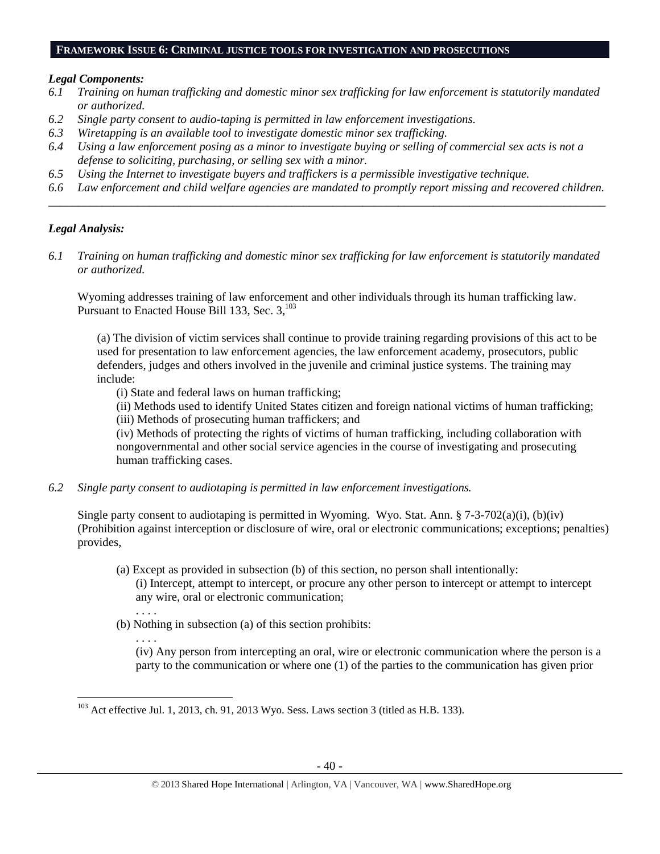#### **FRAMEWORK ISSUE 6: CRIMINAL JUSTICE TOOLS FOR INVESTIGATION AND PROSECUTIONS**

### *Legal Components:*

- *6.1 Training on human trafficking and domestic minor sex trafficking for law enforcement is statutorily mandated or authorized.*
- *6.2 Single party consent to audio-taping is permitted in law enforcement investigations.*
- *6.3 Wiretapping is an available tool to investigate domestic minor sex trafficking.*
- *6.4 Using a law enforcement posing as a minor to investigate buying or selling of commercial sex acts is not a defense to soliciting, purchasing, or selling sex with a minor.*
- *6.5 Using the Internet to investigate buyers and traffickers is a permissible investigative technique.*
- *6.6 Law enforcement and child welfare agencies are mandated to promptly report missing and recovered children. \_\_\_\_\_\_\_\_\_\_\_\_\_\_\_\_\_\_\_\_\_\_\_\_\_\_\_\_\_\_\_\_\_\_\_\_\_\_\_\_\_\_\_\_\_\_\_\_\_\_\_\_\_\_\_\_\_\_\_\_\_\_\_\_\_\_\_\_\_\_\_\_\_\_\_\_\_\_\_\_\_\_\_\_\_\_\_\_\_\_\_\_\_\_*

# *Legal Analysis:*

*6.1 Training on human trafficking and domestic minor sex trafficking for law enforcement is statutorily mandated or authorized.*

Wyoming addresses training of law enforcement and other individuals through its human trafficking law. Pursuant to Enacted House Bill 133, Sec. 3,<sup>103</sup>

(a) The division of victim services shall continue to provide training regarding provisions of this act to be used for presentation to law enforcement agencies, the law enforcement academy, prosecutors, public defenders, judges and others involved in the juvenile and criminal justice systems. The training may include:

(i) State and federal laws on human trafficking;

(ii) Methods used to identify United States citizen and foreign national victims of human trafficking;

(iii) Methods of prosecuting human traffickers; and

(iv) Methods of protecting the rights of victims of human trafficking, including collaboration with nongovernmental and other social service agencies in the course of investigating and prosecuting human trafficking cases.

*6.2 Single party consent to audiotaping is permitted in law enforcement investigations.*

Single party consent to audiotaping is permitted in Wyoming. Wyo. Stat. Ann. § 7-3-702(a)(i), (b)(iv) (Prohibition against interception or disclosure of wire, oral or electronic communications; exceptions; penalties) provides,

- (a) Except as provided in subsection (b) of this section, no person shall intentionally: (i) Intercept, attempt to intercept, or procure any other person to intercept or attempt to intercept any wire, oral or electronic communication;
- . . . . (b) Nothing in subsection (a) of this section prohibits:
	- . . . .

 $\overline{\phantom{a}}$ 

(iv) Any person from intercepting an oral, wire or electronic communication where the person is a party to the communication or where one (1) of the parties to the communication has given prior

 $103$  Act effective Jul. 1, 2013, ch. 91, 2013 Wyo. Sess. Laws section 3 (titled as H.B. 133).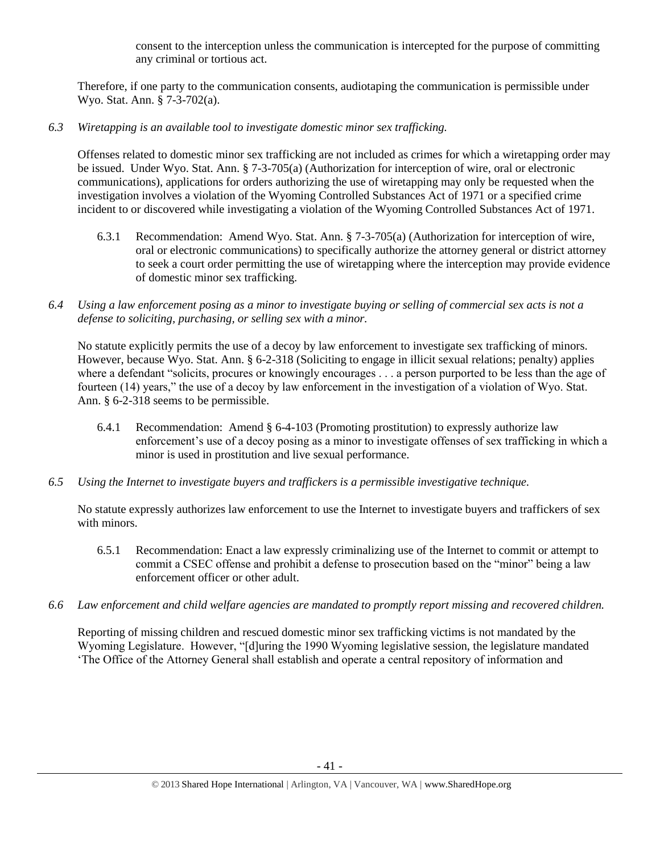consent to the interception unless the communication is intercepted for the purpose of committing any criminal or tortious act.

Therefore, if one party to the communication consents, audiotaping the communication is permissible under Wyo. Stat. Ann. § 7-3-702(a).

*6.3 Wiretapping is an available tool to investigate domestic minor sex trafficking.* 

Offenses related to domestic minor sex trafficking are not included as crimes for which a wiretapping order may be issued. Under Wyo. Stat. Ann. § 7-3-705(a) (Authorization for interception of wire, oral or electronic communications), applications for orders authorizing the use of wiretapping may only be requested when the investigation involves a violation of the Wyoming Controlled Substances Act of 1971 or a specified crime incident to or discovered while investigating a violation of the Wyoming Controlled Substances Act of 1971.

- 6.3.1 Recommendation: Amend Wyo. Stat. Ann. § 7-3-705(a) (Authorization for interception of wire, oral or electronic communications) to specifically authorize the attorney general or district attorney to seek a court order permitting the use of wiretapping where the interception may provide evidence of domestic minor sex trafficking.
- *6.4 Using a law enforcement posing as a minor to investigate buying or selling of commercial sex acts is not a defense to soliciting, purchasing, or selling sex with a minor.*

No statute explicitly permits the use of a decoy by law enforcement to investigate sex trafficking of minors. However, because Wyo. Stat. Ann. § 6-2-318 (Soliciting to engage in illicit sexual relations; penalty) applies where a defendant "solicits, procures or knowingly encourages . . . a person purported to be less than the age of fourteen (14) years," the use of a decoy by law enforcement in the investigation of a violation of Wyo. Stat. Ann. § 6-2-318 seems to be permissible.

- 6.4.1 Recommendation: Amend § 6-4-103 (Promoting prostitution) to expressly authorize law enforcement's use of a decoy posing as a minor to investigate offenses of sex trafficking in which a minor is used in prostitution and live sexual performance.
- *6.5 Using the Internet to investigate buyers and traffickers is a permissible investigative technique.*

No statute expressly authorizes law enforcement to use the Internet to investigate buyers and traffickers of sex with minors.

- 6.5.1 Recommendation: Enact a law expressly criminalizing use of the Internet to commit or attempt to commit a CSEC offense and prohibit a defense to prosecution based on the "minor" being a law enforcement officer or other adult.
- *6.6 Law enforcement and child welfare agencies are mandated to promptly report missing and recovered children.*

Reporting of missing children and rescued domestic minor sex trafficking victims is not mandated by the Wyoming Legislature. However, "[d]uring the 1990 Wyoming legislative session, the legislature mandated 'The Office of the Attorney General shall establish and operate a central repository of information and